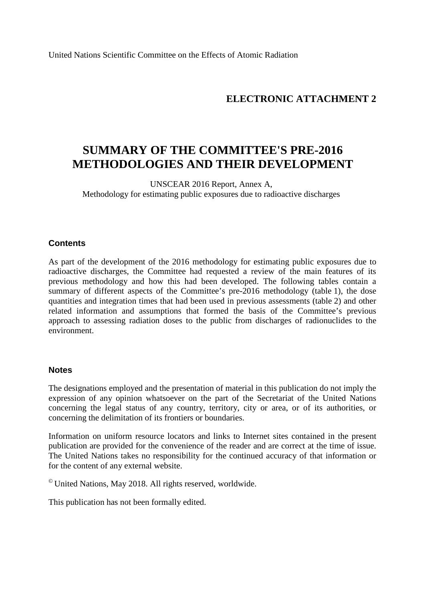United Nations Scientific Committee on the Effects of Atomic Radiation

## **ELECTRONIC ATTACHMENT 2**

# **SUMMARY OF THE COMMITTEE'S PRE-2016 METHODOLOGIES AND THEIR DEVELOPMENT**

UNSCEAR 2016 Report, Annex A, Methodology for estimating public exposures due to radioactive discharges

#### **Contents**

As part of the development of the 2016 methodology for estimating public exposures due to radioactive discharges, the Committee had requested a review of the main features of its previous methodology and how this had been developed. The following tables contain a summary of different aspects of the Committee's pre-2016 methodology (table 1), the dose quantities and integration times that had been used in previous assessments (table 2) and other related information and assumptions that formed the basis of the Committee's previous approach to assessing radiation doses to the public from discharges of radionuclides to the environment.

#### **Notes**

The designations employed and the presentation of material in this publication do not imply the expression of any opinion whatsoever on the part of the Secretariat of the United Nations concerning the legal status of any country, territory, city or area, or of its authorities, or concerning the delimitation of its frontiers or boundaries.

Information on uniform resource locators and links to Internet sites contained in the present publication are provided for the convenience of the reader and are correct at the time of issue. The United Nations takes no responsibility for the continued accuracy of that information or for the content of any external website.

© United Nations, May 2018. All rights reserved, worldwide.

This publication has not been formally edited.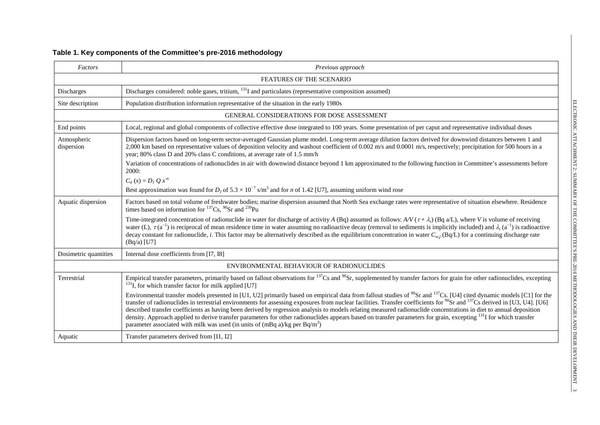## **Table 1. Key components of the Committee's pre-2016 methodology**

| Factors                   | Previous approach                                                                                                                                                                                                                                                                                                                                                                                                                                                                                                                                                                                                                                                                                                                                                                                                 |  |  |  |  |
|---------------------------|-------------------------------------------------------------------------------------------------------------------------------------------------------------------------------------------------------------------------------------------------------------------------------------------------------------------------------------------------------------------------------------------------------------------------------------------------------------------------------------------------------------------------------------------------------------------------------------------------------------------------------------------------------------------------------------------------------------------------------------------------------------------------------------------------------------------|--|--|--|--|
|                           | FEATURES OF THE SCENARIO                                                                                                                                                                                                                                                                                                                                                                                                                                                                                                                                                                                                                                                                                                                                                                                          |  |  |  |  |
| Discharges                | Discharges considered: noble gases, tritium, $^{131}I$ and particulates (representative composition assumed)                                                                                                                                                                                                                                                                                                                                                                                                                                                                                                                                                                                                                                                                                                      |  |  |  |  |
| Site description          | Population distribution information representative of the situation in the early 1980s                                                                                                                                                                                                                                                                                                                                                                                                                                                                                                                                                                                                                                                                                                                            |  |  |  |  |
|                           | GENERAL CONSIDERATIONS FOR DOSE ASSESSMENT                                                                                                                                                                                                                                                                                                                                                                                                                                                                                                                                                                                                                                                                                                                                                                        |  |  |  |  |
| End points                | Local, regional and global components of collective effective dose integrated to 100 years. Some presentation of per caput and representative individual doses                                                                                                                                                                                                                                                                                                                                                                                                                                                                                                                                                                                                                                                    |  |  |  |  |
| Atmospheric<br>dispersion | Dispersion factors based on long-term sector-averaged Gaussian plume model. Long-term average dilution factors derived for downwind distances between 1 and<br>2,000 km based on representative values of deposition velocity and washout coefficient of 0.002 m/s and 0.0001 m/s, respectively; precipitation for 500 hours in a<br>year; 80% class D and 20% class C conditions, at average rate of 1.5 mm/h                                                                                                                                                                                                                                                                                                                                                                                                    |  |  |  |  |
|                           | Variation of concentrations of radionuclides in air with downwind distance beyond 1 km approximated to the following function in Committee's assessments before<br>2000:                                                                                                                                                                                                                                                                                                                                                                                                                                                                                                                                                                                                                                          |  |  |  |  |
|                           | $C_a(x) = D_1 Q x^n$                                                                                                                                                                                                                                                                                                                                                                                                                                                                                                                                                                                                                                                                                                                                                                                              |  |  |  |  |
|                           | Best approximation was found for $D_1$ of $5.3 \times 10^{-7}$ s/m <sup>3</sup> and for <i>n</i> of 1.42 [U7], assuming uniform wind rose                                                                                                                                                                                                                                                                                                                                                                                                                                                                                                                                                                                                                                                                         |  |  |  |  |
| Aquatic dispersion        | Factors based on total volume of freshwater bodies; marine dispersion assumed that North Sea exchange rates were representative of situation elsewhere. Residence<br>times based on information for $^{137}Cs$ , $^{90}Sr$ and $^{239}Pu$                                                                                                                                                                                                                                                                                                                                                                                                                                                                                                                                                                         |  |  |  |  |
|                           | Time-integrated concentration of radionuclide in water for discharge of activity A (Bq) assumed as follows: $AV(\tau + \lambda_i)$ (Bq a/L), where V is volume of receiving<br>water (L), $\tau$ (a <sup>-1</sup> ) is reciprocal of mean residence time in water assuming no radioactive decay (removal to sediments is implicitly included) and $\lambda_i$ (a <sup>-1</sup> ) is radioactive<br>decay constant for radionuclide, i. This factor may be alternatively described as the equilibrium concentration in water $C_{w,i}$ (Bq/L) for a continuing discharge rate<br>$(Bq/a)$ [U7]                                                                                                                                                                                                                     |  |  |  |  |
| Dosimetric quantities     | Internal dose coefficients from [I7, I8]                                                                                                                                                                                                                                                                                                                                                                                                                                                                                                                                                                                                                                                                                                                                                                          |  |  |  |  |
|                           | ENVIRONMENTAL BEHAVIOUR OF RADIONUCLIDES                                                                                                                                                                                                                                                                                                                                                                                                                                                                                                                                                                                                                                                                                                                                                                          |  |  |  |  |
| Terrestrial               | Empirical transfer parameters, primarily based on fallout observations for <sup>137</sup> Cs and <sup>90</sup> Sr, supplemented by transfer factors for grain for other radionuclides, excepting<br>$^{131}$ I, for which transfer factor for milk applied [U7]                                                                                                                                                                                                                                                                                                                                                                                                                                                                                                                                                   |  |  |  |  |
|                           | Environmental transfer models presented in [U1, U2] primarily based on empirical data from fallout studies of $^{90}$ Sr and $^{137}$ Cs. [U4] cited dynamic models [C1] for the<br>transfer of radionuclides in terrestrial environments for assessing exposures from nuclear facilities. Transfer coefficients for $^{90}$ Sr and $^{137}$ Cs derived in [U3, U4]. [U6]<br>described transfer coefficients as having been derived by regression analysis to models relating measured radionuclide concentrations in diet to annual deposition<br>density. Approach applied to derive transfer parameters for other radionuclides appears based on transfer parameters for grain, excepting <sup>131</sup> I for which transfer<br>parameter associated with milk was used (in units of (mBq a)/kg per $Bq/m3$ ) |  |  |  |  |
| Aquatic                   | Transfer parameters derived from [I1, I2]                                                                                                                                                                                                                                                                                                                                                                                                                                                                                                                                                                                                                                                                                                                                                                         |  |  |  |  |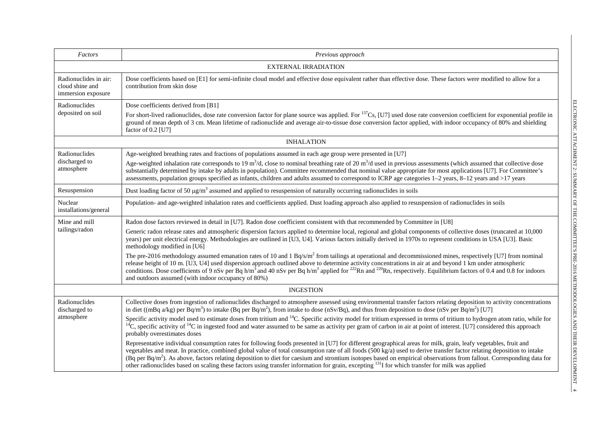| Factors                                                        | Previous approach                                                                                                                                                                                                                                                                                                                                                                                                                                                                                                                                                                                                                                                                                                                                                                                                                                                                                                                                                                                                                                                                                                |
|----------------------------------------------------------------|------------------------------------------------------------------------------------------------------------------------------------------------------------------------------------------------------------------------------------------------------------------------------------------------------------------------------------------------------------------------------------------------------------------------------------------------------------------------------------------------------------------------------------------------------------------------------------------------------------------------------------------------------------------------------------------------------------------------------------------------------------------------------------------------------------------------------------------------------------------------------------------------------------------------------------------------------------------------------------------------------------------------------------------------------------------------------------------------------------------|
|                                                                | <b>EXTERNAL IRRADIATION</b>                                                                                                                                                                                                                                                                                                                                                                                                                                                                                                                                                                                                                                                                                                                                                                                                                                                                                                                                                                                                                                                                                      |
| Radionuclides in air:<br>cloud shine and<br>immersion exposure | Dose coefficients based on [E1] for semi-infinite cloud model and effective dose equivalent rather than effective dose. These factors were modified to allow for a<br>contribution from skin dose                                                                                                                                                                                                                                                                                                                                                                                                                                                                                                                                                                                                                                                                                                                                                                                                                                                                                                                |
| Radionuclides<br>deposited on soil                             | Dose coefficients derived from [B1]<br>For short-lived radionuclides, dose rate conversion factor for plane source was applied. For <sup>137</sup> Cs, [U7] used dose rate conversion coefficient for exponential profile in<br>ground of mean depth of 3 cm. Mean lifetime of radionuclide and average air-to-tissue dose conversion factor applied, with indoor occupancy of 80% and shielding<br>factor of 0.2 [U7]                                                                                                                                                                                                                                                                                                                                                                                                                                                                                                                                                                                                                                                                                           |
|                                                                | <b>INHALATION</b>                                                                                                                                                                                                                                                                                                                                                                                                                                                                                                                                                                                                                                                                                                                                                                                                                                                                                                                                                                                                                                                                                                |
| Radionuclides<br>discharged to<br>atmosphere                   | Age-weighted breathing rates and fractions of populations assumed in each age group were presented in [U7]<br>Age-weighted inhalation rate corresponds to 19 m <sup>3</sup> /d, close to nominal breathing rate of 20 m <sup>3</sup> /d used in previous assessments (which assumed that collective dose<br>substantially determined by intake by adults in population). Committee recommended that nominal value appropriate for most applications [U7]. For Committee's<br>assessments, population groups specified as infants, children and adults assumed to correspond to ICRP age categories 1-2 years, 8-12 years and >17 years                                                                                                                                                                                                                                                                                                                                                                                                                                                                           |
| Resuspension                                                   | Dust loading factor of 50 $\mu g/m^3$ assumed and applied to resuspension of naturally occurring radionuclides in soils                                                                                                                                                                                                                                                                                                                                                                                                                                                                                                                                                                                                                                                                                                                                                                                                                                                                                                                                                                                          |
| Nuclear<br>installations/general                               | Population- and age-weighted inhalation rates and coefficients applied. Dust loading approach also applied to resuspension of radionuclides in soils                                                                                                                                                                                                                                                                                                                                                                                                                                                                                                                                                                                                                                                                                                                                                                                                                                                                                                                                                             |
| Mine and mill<br>tailings/radon                                | Radon dose factors reviewed in detail in [U7]. Radon dose coefficient consistent with that recommended by Committee in [U8]<br>Generic radon release rates and atmospheric dispersion factors applied to determine local, regional and global components of collective doses (truncated at 10,000<br>years) per unit electrical energy. Methodologies are outlined in [U3, U4]. Various factors initially derived in 1970s to represent conditions in USA [U3]. Basic<br>methodology modified in [U6]<br>The pre-2016 methodology assumed emanation rates of 10 and 1 $Bq/s/m2$ from tailings at operational and decommissioned mines, respectively [U7] from nominal<br>release height of 10 m. [U3, U4] used dispersion approach outlined above to determine activity concentrations in air at and beyond 1 km under atmospheric<br>conditions. Dose coefficients of 9 nSv per Bq h/m <sup>3</sup> and 40 nSv per Bq h/m <sup>3</sup> applied for <sup>222</sup> Rn and <sup>220</sup> Rn, respectively. Equilibrium factors of 0.4 and 0.8 for indoors<br>and outdoors assumed (with indoor occupancy of 80%) |
|                                                                | <b>INGESTION</b>                                                                                                                                                                                                                                                                                                                                                                                                                                                                                                                                                                                                                                                                                                                                                                                                                                                                                                                                                                                                                                                                                                 |
| Radionuclides<br>discharged to                                 | Collective doses from ingestion of radionuclides discharged to atmosphere assessed using environmental transfer factors relating deposition to activity concentrations<br>in diet ((mBq a/kg) per $\frac{Bq}{m^3}$ ) to intake (Bq per $\frac{Bq}{m^2}$ ), from intake to dose (nSv/Bq), and thus from deposition to dose (nSv per $\frac{Bq}{m^2}$ ) [U7]                                                                                                                                                                                                                                                                                                                                                                                                                                                                                                                                                                                                                                                                                                                                                       |
| atmosphere                                                     | Specific activity model used to estimate doses from tritium and <sup>14</sup> C. Specific activity model for tritium expressed in terms of tritium to hydrogen atom ratio, while for<br><sup>14</sup> C, specific activity of <sup>14</sup> C in ingested food and water assumed to be same as activity per gram of carbon in air at point of interest. [U7] considered this approach<br>probably overestimates doses                                                                                                                                                                                                                                                                                                                                                                                                                                                                                                                                                                                                                                                                                            |
|                                                                | Representative individual consumption rates for following foods presented in [U7] for different geographical areas for milk, grain, leafy vegetables, fruit and<br>vegetables and meat. In practice, combined global value of total consumption rate of all foods (500 kg/a) used to derive transfer factor relating deposition to intake<br>(Bq per Bq/m <sup>2</sup> ). As above, factors relating deposition to diet for caesium and strontium isotopes based on empirical observations from fallout. Corresponding data for<br>other radionuclides based on scaling these factors using transfer information for grain, excepting <sup>131</sup> I for which transfer for milk was applied                                                                                                                                                                                                                                                                                                                                                                                                                   |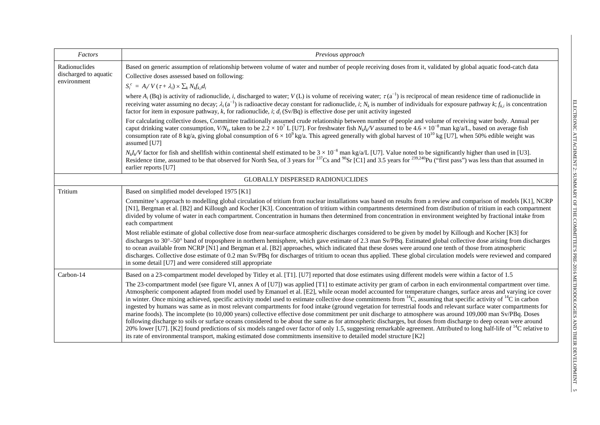| Factors                                               | Previous approach                                                                                                                                                                                                                                                                                                                                                                                                                                                                                                                                                                                                                                                                                                                                                                                                                                                                                                                                                                                                                                                                                                                                                                                                                                                                                                                                                                                                                                                                         |
|-------------------------------------------------------|-------------------------------------------------------------------------------------------------------------------------------------------------------------------------------------------------------------------------------------------------------------------------------------------------------------------------------------------------------------------------------------------------------------------------------------------------------------------------------------------------------------------------------------------------------------------------------------------------------------------------------------------------------------------------------------------------------------------------------------------------------------------------------------------------------------------------------------------------------------------------------------------------------------------------------------------------------------------------------------------------------------------------------------------------------------------------------------------------------------------------------------------------------------------------------------------------------------------------------------------------------------------------------------------------------------------------------------------------------------------------------------------------------------------------------------------------------------------------------------------|
| Radionuclides<br>discharged to aquatic<br>environment | Based on generic assumption of relationship between volume of water and number of people receiving doses from it, validated by global aquatic food-catch data<br>Collective doses assessed based on following:<br>$S_i^c = A_i/V(\tau + \lambda_i) \times \sum_k N_k f_{k,i} d_i$                                                                                                                                                                                                                                                                                                                                                                                                                                                                                                                                                                                                                                                                                                                                                                                                                                                                                                                                                                                                                                                                                                                                                                                                         |
|                                                       | where $A_i$ (Bq) is activity of radionuclide, i, discharged to water; $V(L)$ is volume of receiving water; $\tau(a^{-1})$ is reciprocal of mean residence time of radionuclide in<br>receiving water assuming no decay; $\lambda_i$ (a <sup>-1</sup> ) is radioactive decay constant for radionuclide, i; $N_k$ is number of individuals for exposure pathway k; $f_{k,i}$ is concentration<br>factor for item in exposure pathway, k, for radionuclide, i; $d_i$ (Sv/Bq) is effective dose per unit activity ingested                                                                                                                                                                                                                                                                                                                                                                                                                                                                                                                                                                                                                                                                                                                                                                                                                                                                                                                                                                    |
|                                                       | For calculating collective doses, Committee traditionally assumed crude relationship between number of people and volume of receiving water body. Annual per<br>caput drinking water consumption, $V/N_k$ , taken to be 2.2 × 10 <sup>7</sup> L [U7]. For freshwater fish $N_k l_k$ assumed to be 4.6 × 10 <sup>-8</sup> man kg/a/L, based on average fish<br>consumption rate of 8 kg/a, giving global consumption of $6 \times 10^9$ kg/a. This agreed generally with global harvest of 10 <sup>10</sup> kg [U7], when 50% edible weight was<br>assumed [U7]                                                                                                                                                                                                                                                                                                                                                                                                                                                                                                                                                                                                                                                                                                                                                                                                                                                                                                                            |
|                                                       | $N_k I_k/V$ factor for fish and shellfish within continental shelf estimated to be $3 \times 10^{-8}$ man kg/a/L [U7]. Value noted to be significantly higher than used in [U3].<br>Residence time, assumed to be that observed for North Sea, of 3 years for <sup>137</sup> Cs and <sup>90</sup> Sr [C1] and 3.5 years for <sup>239,240</sup> Pu ("first pass") was less than that assumed in<br>earlier reports [U7]                                                                                                                                                                                                                                                                                                                                                                                                                                                                                                                                                                                                                                                                                                                                                                                                                                                                                                                                                                                                                                                                    |
|                                                       | <b>GLOBALLY DISPERSED RADIONUCLIDES</b>                                                                                                                                                                                                                                                                                                                                                                                                                                                                                                                                                                                                                                                                                                                                                                                                                                                                                                                                                                                                                                                                                                                                                                                                                                                                                                                                                                                                                                                   |
| Tritium                                               | Based on simplified model developed 1975 [K1]                                                                                                                                                                                                                                                                                                                                                                                                                                                                                                                                                                                                                                                                                                                                                                                                                                                                                                                                                                                                                                                                                                                                                                                                                                                                                                                                                                                                                                             |
|                                                       | Committee's approach to modelling global circulation of tritium from nuclear installations was based on results from a review and comparison of models [K1], NCRP<br>[N1], Bergman et al. [B2] and Killough and Kocher [K3]. Concentration of tritium within compartments determined from distribution of tritium in each compartment<br>divided by volume of water in each compartment. Concentration in humans then determined from concentration in environment weighted by fractional intake from<br>each compartment                                                                                                                                                                                                                                                                                                                                                                                                                                                                                                                                                                                                                                                                                                                                                                                                                                                                                                                                                                 |
|                                                       | Most reliable estimate of global collective dose from near-surface atmospheric discharges considered to be given by model by Killough and Kocher [K3] for<br>discharges to 30°–50° band of troposphere in northern hemisphere, which gave estimate of 2.3 man Sv/PBq. Estimated global collective dose arising from discharges<br>to ocean available from NCRP [N1] and Bergman et al. [B2] approaches, which indicated that these doses were around one tenth of those from atmospheric<br>discharges. Collective dose estimate of 0.2 man Sv/PBq for discharges of tritium to ocean thus applied. These global circulation models were reviewed and compared<br>in some detail [U7] and were considered still appropriate                                                                                                                                                                                                                                                                                                                                                                                                                                                                                                                                                                                                                                                                                                                                                               |
| Carbon-14                                             | Based on a 23-compartment model developed by Titley et al. [T1]. [U7] reported that dose estimates using different models were within a factor of 1.5<br>The 23-compartment model (see figure VI, annex A of [U7]) was applied [T1] to estimate activity per gram of carbon in each environmental compartment over time.<br>Atmospheric component adapted from model used by Emanuel et al. [E2], while ocean model accounted for temperature changes, surface areas and varying ice cover<br>in winter. Once mixing achieved, specific activity model used to estimate collective dose commitments from ${}^{14}C$ , assuming that specific activity of ${}^{14}C$ in carbon<br>ingested by humans was same as in most relevant compartments for food intake (ground vegetation for terrestrial foods and relevant surface water compartments for<br>marine foods). The incomplete (to 10,000 years) collective effective dose commitment per unit discharge to atmosphere was around 109,000 man Sv/PBq. Doses<br>following discharge to soils or surface oceans considered to be about the same as for atmospheric discharges, but doses from discharge to deep ocean were around<br>20% lower [U7]. [K2] found predictions of six models ranged over factor of only 1.5, suggesting remarkable agreement. Attributed to long half-life of $^{14}C$ relative to<br>its rate of environmental transport, making estimated dose commitments insensitive to detailed model structure [K2] |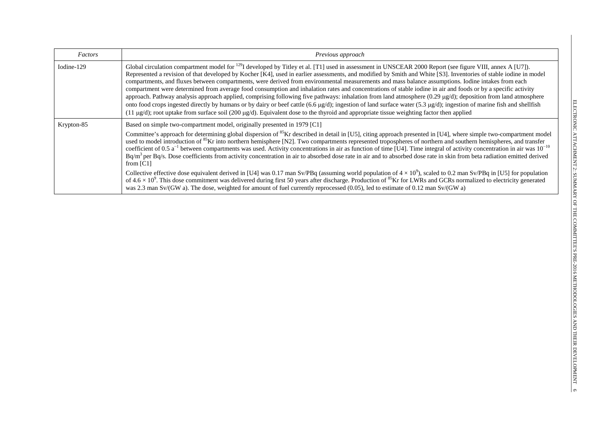| Factors    | Previous approach                                                                                                                                                                                                                                                                                                                                                                                                                                                                                                                                                                                                                                                                                                                                                                                                                                                                                                                                                                                                                                                                                                                                                                                                                                                                                                                            |
|------------|----------------------------------------------------------------------------------------------------------------------------------------------------------------------------------------------------------------------------------------------------------------------------------------------------------------------------------------------------------------------------------------------------------------------------------------------------------------------------------------------------------------------------------------------------------------------------------------------------------------------------------------------------------------------------------------------------------------------------------------------------------------------------------------------------------------------------------------------------------------------------------------------------------------------------------------------------------------------------------------------------------------------------------------------------------------------------------------------------------------------------------------------------------------------------------------------------------------------------------------------------------------------------------------------------------------------------------------------|
| Iodine-129 | Global circulation compartment model for <sup>129</sup> I developed by Titley et al. [T1] used in assessment in UNSCEAR 2000 Report (see figure VIII, annex A [U7]).<br>Represented a revision of that developed by Kocher [K4], used in earlier assessments, and modified by Smith and White [S3]. Inventories of stable iodine in model<br>compartments, and fluxes between compartments, were derived from environmental measurements and mass balance assumptions. Iodine intakes from each<br>compartment were determined from average food consumption and inhalation rates and concentrations of stable iodine in air and foods or by a specific activity<br>approach. Pathway analysis approach applied, comprising following five pathways: inhalation from land atmosphere $(0.29 \mu g/d)$ ; deposition from land atmosphere<br>onto food crops ingested directly by humans or by dairy or beef cattle $(6.6 \text{ µg/d})$ ; ingestion of land surface water $(5.3 \text{ µg/d})$ ; ingestion of marine fish and shellfish<br>$(11 \mu g/d)$ ; root uptake from surface soil (200 $\mu g/d$ ). Equivalent dose to the thyroid and appropriate tissue weighting factor then applied                                                                                                                                               |
| Krypton-85 | Based on simple two-compartment model, originally presented in 1979 [C1]<br>Committee's approach for determining global dispersion of <sup>85</sup> Kr described in detail in [U5], citing approach presented in [U4], where simple two-compartment model<br>used to model introduction of <sup>85</sup> Kr into northern hemisphere [N2]. Two compartments represented tropospheres of northern and southern hemispheres, and transfer<br>coefficient of 0.5 $a^{-1}$ between compartments was used. Activity concentrations in air as function of time [U4]. Time integral of activity concentration in air was $10^{-10}$<br>Bq/m <sup>3</sup> per Bq/s. Dose coefficients from activity concentration in air to absorbed dose rate in air and to absorbed dose rate in skin from beta radiation emitted derived<br>from $[C1]$<br>Collective effective dose equivalent derived in [U4] was 0.17 man Sv/PBq (assuming world population of $4 \times 10^9$ ), scaled to 0.2 man Sv/PBq in [U5] for population<br>of $4.6 \times 10^9$ . This dose commitment was delivered during first 50 years after discharge. Production of <sup>85</sup> Kr for LWRs and GCRs normalized to electricity generated<br>was 2.3 man Sv/(GW a). The dose, weighted for amount of fuel currently reprocessed (0.05), led to estimate of 0.12 man Sv/(GW a) |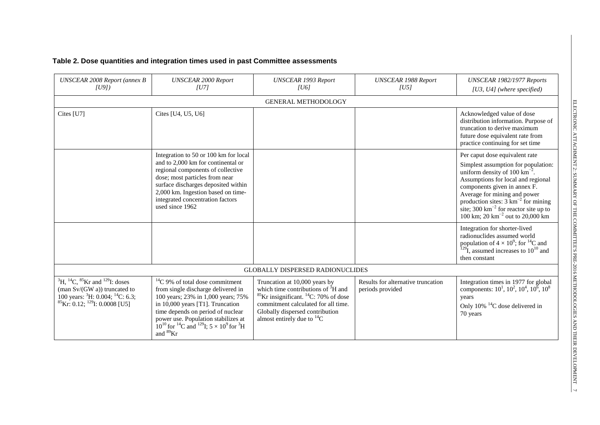## **Table 2. Dose quantities and integration times used in past Committee assessments**

| <b>UNSCEAR 2008 Report (annex B</b><br>U91)                                                                                                                                                        | <b>UNSCEAR 2000 Report</b><br> U7                                                                                                                                                                                                                                                                                                                    | <b>UNSCEAR 1993 Report</b><br> U6                                                                                                                                                                                                                     | <b>UNSCEAR 1988 Report</b><br> U5                      | UNSCEAR 1982/1977 Reports<br>[ $U3$ , $U4$ ] (where specified)                                                                                                                                                                                                                                                                                                                     |  |  |  |
|----------------------------------------------------------------------------------------------------------------------------------------------------------------------------------------------------|------------------------------------------------------------------------------------------------------------------------------------------------------------------------------------------------------------------------------------------------------------------------------------------------------------------------------------------------------|-------------------------------------------------------------------------------------------------------------------------------------------------------------------------------------------------------------------------------------------------------|--------------------------------------------------------|------------------------------------------------------------------------------------------------------------------------------------------------------------------------------------------------------------------------------------------------------------------------------------------------------------------------------------------------------------------------------------|--|--|--|
|                                                                                                                                                                                                    | <b>GENERAL METHODOLOGY</b>                                                                                                                                                                                                                                                                                                                           |                                                                                                                                                                                                                                                       |                                                        |                                                                                                                                                                                                                                                                                                                                                                                    |  |  |  |
| Cites [U7]                                                                                                                                                                                         | Cites [U4, U5, U6]                                                                                                                                                                                                                                                                                                                                   |                                                                                                                                                                                                                                                       |                                                        | Acknowledged value of dose<br>distribution information. Purpose of<br>truncation to derive maximum<br>future dose equivalent rate from<br>practice continuing for set time                                                                                                                                                                                                         |  |  |  |
|                                                                                                                                                                                                    | Integration to 50 or 100 km for local<br>and to 2,000 km for continental or<br>regional components of collective<br>dose; most particles from near<br>surface discharges deposited within<br>2,000 km. Ingestion based on time-<br>integrated concentration factors<br>used since 1962                                                               |                                                                                                                                                                                                                                                       |                                                        | Per caput dose equivalent rate<br>Simplest assumption for population:<br>uniform density of 100 $\text{km}^{-2}$ .<br>Assumptions for local and regional<br>components given in annex F.<br>Average for mining and power<br>production sites: $3 \text{ km}^{-2}$ for mining<br>site; $300 \text{ km}^{-2}$ for reactor site up to<br>100 km; 20 km <sup>-2</sup> out to 20,000 km |  |  |  |
|                                                                                                                                                                                                    |                                                                                                                                                                                                                                                                                                                                                      |                                                                                                                                                                                                                                                       |                                                        | Integration for shorter-lived<br>radionuclides assumed world<br>population of $4 \times 10^9$ ; for <sup>14</sup> C and<br>$^{129}$ I, assumed increases to $10^{10}$ and<br>then constant                                                                                                                                                                                         |  |  |  |
|                                                                                                                                                                                                    |                                                                                                                                                                                                                                                                                                                                                      | <b>GLOBALLY DISPERSED RADIONUCLIDES</b>                                                                                                                                                                                                               |                                                        |                                                                                                                                                                                                                                                                                                                                                                                    |  |  |  |
| ${}^{3}H, {}^{14}C, {}^{85}Kr$ and ${}^{129}I$ : doses<br>(man Sv/(GW a)) truncated to<br>100 years: ${}^{3}$ H: 0.004; <sup>14</sup> C: 6.3;<br>${}^{85}$ Kr: 0.12; <sup>129</sup> I: 0.0008 [U5] | ${}^{14}C$ 9% of total dose commitment<br>from single discharge delivered in<br>100 years; 23% in 1,000 years; 75%<br>in 10,000 years [T1]. Truncation<br>time depends on period of nuclear<br>power use. Population stabilizes at<br>$10^{10}$ for <sup>14</sup> C and <sup>129</sup> I; $5 \times 10^9$ for <sup>3</sup> H<br>and <sup>89</sup> Kr | Truncation at 10,000 years by<br>which time contributions of ${}^{3}H$ and<br>${}^{85}$ Kr insignificant. <sup>14</sup> C: 70% of dose<br>commitment calculated for all time.<br>Globally dispersed contribution<br>almost entirely due to ${}^{14}C$ | Results for alternative truncation<br>periods provided | Integration times in 1977 for global<br>components: $10^1$ , $10^2$ , $10^4$ , $10^6$ , $10^8$<br>years<br>Only $10\%$ <sup>14</sup> C dose delivered in<br>70 years                                                                                                                                                                                                               |  |  |  |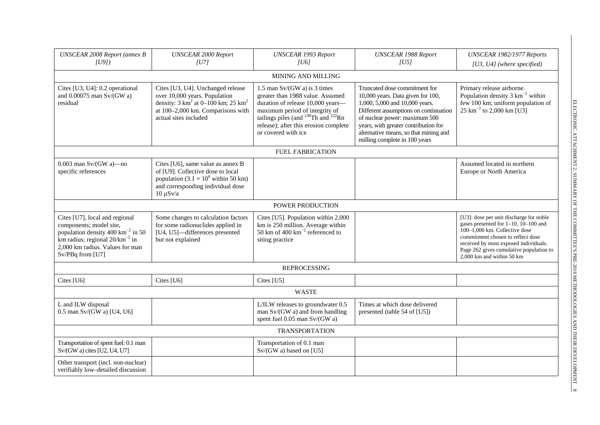| <b>UNSCEAR 2008 Report (annex B</b><br>[U9]                                                                                                                                                              | <b>UNSCEAR 2000 Report</b><br><b>UNSCEAR 1993 Report</b><br> U7 <br>[ <sub>U6</sub> ]                                                                                                                   |                                                                                                                                                                                                                                                              | <b>UNSCEAR 1988 Report</b><br> U5                                                                                                                                                                                                                                                                | UNSCEAR 1982/1977 Reports<br>[U3, U4] (where specified)                                                                                                                                                                                                                |
|----------------------------------------------------------------------------------------------------------------------------------------------------------------------------------------------------------|---------------------------------------------------------------------------------------------------------------------------------------------------------------------------------------------------------|--------------------------------------------------------------------------------------------------------------------------------------------------------------------------------------------------------------------------------------------------------------|--------------------------------------------------------------------------------------------------------------------------------------------------------------------------------------------------------------------------------------------------------------------------------------------------|------------------------------------------------------------------------------------------------------------------------------------------------------------------------------------------------------------------------------------------------------------------------|
|                                                                                                                                                                                                          |                                                                                                                                                                                                         | <b>MINING AND MILLING</b>                                                                                                                                                                                                                                    |                                                                                                                                                                                                                                                                                                  |                                                                                                                                                                                                                                                                        |
| Cites [U3, U4]: 0.2 operational<br>and $0.00075$ man Sv/(GW a)<br>residual                                                                                                                               | Cites [U3, U4]. Unchanged release<br>over 10,000 years. Population<br>density: $3 \text{ km}^2$ at $0-100 \text{ km}$ ; $25 \text{ km}^2$<br>at 100-2,000 km. Comparisons with<br>actual sites included | 1.5 man $Sv/(GW a)$ is 3 times<br>greater than 1988 value. Assumed<br>duration of release 10,000 years-<br>maximum period of integrity of<br>tailings piles (and $^{230}$ Th and $^{222}$ Rn<br>release); after this erosion complete<br>or covered with ice | Truncated dose commitment for<br>10,000 years. Data given for 100,<br>1,000, 5,000 and 10,000 years.<br>Different assumptions on continuation<br>of nuclear power: maximum 500<br>years, with greater contribution for<br>alternative means, so that mining and<br>milling complete in 100 years | Primary release airborne.<br>Population density $3 \text{ km}^{-2}$ within<br>few 100 km; uniform population of<br>$25 \text{ km}^{-2}$ to 2,000 km [U3]                                                                                                               |
|                                                                                                                                                                                                          |                                                                                                                                                                                                         | <b>FUEL FABRICATION</b>                                                                                                                                                                                                                                      |                                                                                                                                                                                                                                                                                                  |                                                                                                                                                                                                                                                                        |
| $0.003$ man Sv/(GW a)-no<br>specific references                                                                                                                                                          | Cites [U6], same value as annex B<br>of [U9]. Collective dose to local<br>population $(3.1 \times 10^6 \text{ within } 50 \text{ km})$<br>and corresponding individual dose<br>$10 \mu Sv/a$            |                                                                                                                                                                                                                                                              |                                                                                                                                                                                                                                                                                                  | Assumed located in northern<br>Europe or North America                                                                                                                                                                                                                 |
|                                                                                                                                                                                                          |                                                                                                                                                                                                         | POWER PRODUCTION                                                                                                                                                                                                                                             |                                                                                                                                                                                                                                                                                                  |                                                                                                                                                                                                                                                                        |
| Cites [U7], local and regional<br>components; model site,<br>population density 400 km <sup>-2</sup> in 50<br>km radius; regional $20/km^{-2}$ in<br>2,000 km radius. Values for man<br>Sv/PBq from [U7] | Some changes to calculation factors<br>for some radionuclides applied in<br>[U4, U5]-differences presented<br>but not explained                                                                         | Cites [U5]. Population within 2,000<br>km is 250 million. Average within<br>50 km of 400 $km^{-2}$ referenced to<br>siting practice                                                                                                                          |                                                                                                                                                                                                                                                                                                  | [U3]: dose per unit discharge for noble<br>gases presented for 1-10, 10-100 and<br>100-1.000 km. Collective dose<br>commitment chosen to reflect dose<br>received by most exposed individuals.<br>Page 262 gives cumulative population to<br>2,000 km and within 50 km |
|                                                                                                                                                                                                          |                                                                                                                                                                                                         | <b>REPROCESSING</b>                                                                                                                                                                                                                                          |                                                                                                                                                                                                                                                                                                  |                                                                                                                                                                                                                                                                        |
| Cites [U6]                                                                                                                                                                                               | Cites [U6]                                                                                                                                                                                              | Cites [U5]                                                                                                                                                                                                                                                   |                                                                                                                                                                                                                                                                                                  |                                                                                                                                                                                                                                                                        |
|                                                                                                                                                                                                          |                                                                                                                                                                                                         | <b>WASTE</b>                                                                                                                                                                                                                                                 |                                                                                                                                                                                                                                                                                                  |                                                                                                                                                                                                                                                                        |
| L and ILW disposal<br>0.5 man $Sv/(GW a)$ [U4, U6]                                                                                                                                                       |                                                                                                                                                                                                         | L/ILW releases to groundwater 0.5<br>man Sv/(GW a) and from handling<br>spent fuel 0.05 man Sv/(GW a)                                                                                                                                                        | Times at which dose delivered<br>presented (table 54 of [U5])                                                                                                                                                                                                                                    |                                                                                                                                                                                                                                                                        |
|                                                                                                                                                                                                          |                                                                                                                                                                                                         | <b>TRANSPORTATION</b>                                                                                                                                                                                                                                        |                                                                                                                                                                                                                                                                                                  |                                                                                                                                                                                                                                                                        |
| Transportation of spent fuel: 0.1 man<br>Sv/(GW a) cites [U2, U4, U7]                                                                                                                                    |                                                                                                                                                                                                         | Transportation of 0.1 man<br>Sv/(GW a) based on [U5]                                                                                                                                                                                                         |                                                                                                                                                                                                                                                                                                  |                                                                                                                                                                                                                                                                        |
| Other transport (incl. non-nuclear)<br>verifiably low-detailed discussion                                                                                                                                |                                                                                                                                                                                                         |                                                                                                                                                                                                                                                              |                                                                                                                                                                                                                                                                                                  |                                                                                                                                                                                                                                                                        |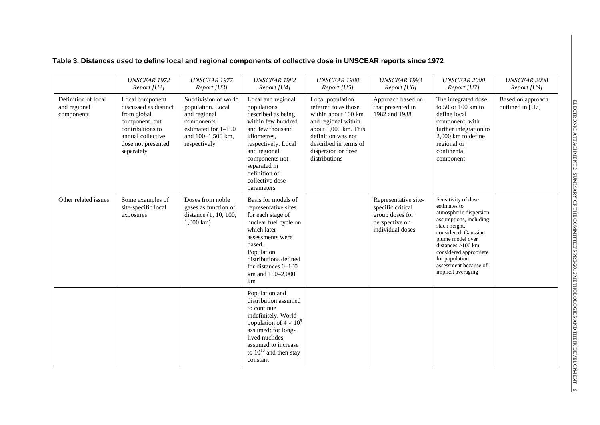|  | Table 3. Distances used to define local and regional components of collective dose in UNSCEAR reports since 1972 |
|--|------------------------------------------------------------------------------------------------------------------|
|--|------------------------------------------------------------------------------------------------------------------|

|                                                   | <b>UNSCEAR 1972</b><br>Report [U2]                                                                                                                     | <b>UNSCEAR 1977</b><br>Report [U3]                                                                                                  | <b>UNSCEAR 1982</b><br>Report [U4]                                                                                                                                                                                                          | <b>UNSCEAR 1988</b><br>Report [U5]                                                                                                                                                                   | <b>UNSCEAR 1993</b><br>Report [U6]                                                                 | <b>UNSCEAR 2000</b><br>Report [U7]                                                                                                                                                                                                                                     | <b>UNSCEAR 2008</b><br>Report [U9]    |
|---------------------------------------------------|--------------------------------------------------------------------------------------------------------------------------------------------------------|-------------------------------------------------------------------------------------------------------------------------------------|---------------------------------------------------------------------------------------------------------------------------------------------------------------------------------------------------------------------------------------------|------------------------------------------------------------------------------------------------------------------------------------------------------------------------------------------------------|----------------------------------------------------------------------------------------------------|------------------------------------------------------------------------------------------------------------------------------------------------------------------------------------------------------------------------------------------------------------------------|---------------------------------------|
| Definition of local<br>and regional<br>components | Local component<br>discussed as distinct<br>from global<br>component, but<br>contributions to<br>annual collective<br>dose not presented<br>separately | Subdivision of world<br>population. Local<br>and regional<br>components<br>estimated for 1-100<br>and 100-1,500 km,<br>respectively | Local and regional<br>populations<br>described as being<br>within few hundred<br>and few thousand<br>kilometres.<br>respectively. Local<br>and regional<br>components not<br>separated in<br>definition of<br>collective dose<br>parameters | Local population<br>referred to as those<br>within about 100 km<br>and regional within<br>about 1,000 km. This<br>definition was not<br>described in terms of<br>dispersion or dose<br>distributions | Approach based on<br>that presented in<br>1982 and 1988                                            | The integrated dose<br>to $50$ or $100$ km to<br>define local<br>component, with<br>further integration to<br>2,000 km to define<br>regional or<br>continental<br>component                                                                                            | Based on approach<br>outlined in [U7] |
| Other related issues                              | Some examples of<br>site-specific local<br>exposures                                                                                                   | Doses from noble<br>gases as function of<br>distance (1, 10, 100,<br>$1,000 \text{ km}$ )                                           | Basis for models of<br>representative sites<br>for each stage of<br>nuclear fuel cycle on<br>which later<br>assessments were<br>based.<br>Population<br>distributions defined<br>for distances $0-100$<br>km and 100-2,000<br>km            |                                                                                                                                                                                                      | Representative site-<br>specific critical<br>group doses for<br>perspective on<br>individual doses | Sensitivity of dose<br>estimates to<br>atmospheric dispersion<br>assumptions, including<br>stack height,<br>considered. Gaussian<br>plume model over<br>distances $>100$ km<br>considered appropriate<br>for population<br>assessment because of<br>implicit averaging |                                       |
|                                                   |                                                                                                                                                        |                                                                                                                                     | Population and<br>distribution assumed<br>to continue<br>indefinitely. World<br>population of $4 \times 10^9$<br>assumed; for long-<br>lived nuclides,<br>assumed to increase<br>to $10^{10}$ and then stay<br>constant                     |                                                                                                                                                                                                      |                                                                                                    |                                                                                                                                                                                                                                                                        |                                       |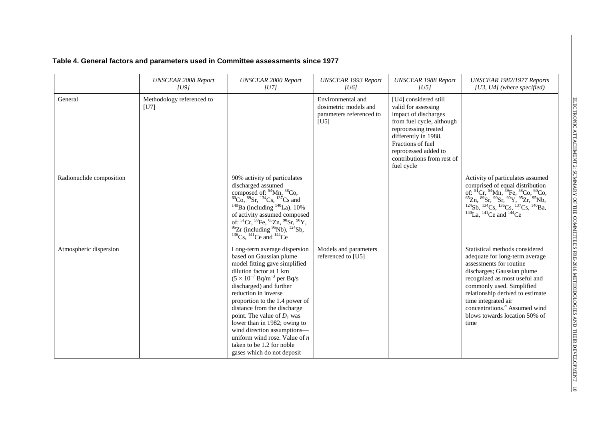|  | Table 4. General factors and parameters used in Committee assessments since 1977 |
|--|----------------------------------------------------------------------------------|
|--|----------------------------------------------------------------------------------|

|                          | <b>UNSCEAR 2008 Report</b><br> U9 | <b>UNSCEAR 2000 Report</b><br> U7                                                                                                                                                                                                                                                                                                                                                                                                                                                        | <b>UNSCEAR 1993 Report</b><br> U6                                              | <b>UNSCEAR 1988 Report</b><br> U5                                                                                                                                                                                                          | UNSCEAR 1982/1977 Reports<br>$[U3, U4]$ (where specified)                                                                                                                                                                                                                                                                                                 |
|--------------------------|-----------------------------------|------------------------------------------------------------------------------------------------------------------------------------------------------------------------------------------------------------------------------------------------------------------------------------------------------------------------------------------------------------------------------------------------------------------------------------------------------------------------------------------|--------------------------------------------------------------------------------|--------------------------------------------------------------------------------------------------------------------------------------------------------------------------------------------------------------------------------------------|-----------------------------------------------------------------------------------------------------------------------------------------------------------------------------------------------------------------------------------------------------------------------------------------------------------------------------------------------------------|
| General                  | Methodology referenced to<br>[U7] |                                                                                                                                                                                                                                                                                                                                                                                                                                                                                          | Environmental and<br>dosimetric models and<br>parameters referenced to<br>[U5] | [U4] considered still<br>valid for assessing<br>impact of discharges<br>from fuel cycle, although<br>reprocessing treated<br>differently in 1988.<br>Fractions of fuel<br>reprocessed added to<br>contributions from rest of<br>fuel cycle |                                                                                                                                                                                                                                                                                                                                                           |
| Radionuclide composition |                                   | 90% activity of particulates<br>discharged assumed<br>composed of: ${}^{54}$ Mn, ${}^{58}$ Co,<br>${}^{60}$ Co, ${}^{89}$ Sr, ${}^{134}$ Cs, ${}^{137}$ Cs and<br>$140$ Ba (including $140$ La). 10%<br>of activity assumed composed<br>of: ${}^{51}Cr, {}^{59}Fe, {}^{65}Zn, {}^{90}Sr, {}^{90}Y,$<br>$^{95}Zr$ (including $^{95}Nb$ ), $^{124}Sb$ ,<br>$136$ Cs, $141$ Ce and $144$ Ce                                                                                                 |                                                                                |                                                                                                                                                                                                                                            | Activity of particulates assumed<br>comprised of equal distribution<br>of: ${}^{51}C$ , ${}^{54}M$ , ${}^{59}Fe$ , ${}^{58}Co$ , ${}^{60}Co$ , ${}^{65}Zn$ , ${}^{89}Sr$ , ${}^{90}Sr$ , ${}^{90}Y$ , ${}^{55}Zr$ , ${}^{95}Nb$ , ${}^{124}Sb$ , ${}^{134}Cs$ , ${}^{136}Cs$ , ${}^{137}Cs$ , ${}^{140}Ba$ , ${}^{140}La$ , ${}^{141}Ce$ and ${}^{144}Ce$ |
| Atmospheric dispersion   |                                   | Long-term average dispersion<br>based on Gaussian plume<br>model fitting gave simplified<br>dilution factor at 1 km<br>$(5 \times 10^{-7}$ Bq/m <sup>-3</sup> per Bq/s<br>discharged) and further<br>reduction in inverse<br>proportion to the 1.4 power of<br>distance from the discharge<br>point. The value of $D_1$ was<br>lower than in 1982; owing to<br>wind direction assumptions-<br>uniform wind rose. Value of $n$<br>taken to be 1.2 for noble<br>gases which do not deposit | Models and parameters<br>referenced to [U5]                                    |                                                                                                                                                                                                                                            | Statistical methods considered<br>adequate for long-term average<br>assessments for routine<br>discharges; Gaussian plume<br>recognized as most useful and<br>commonly used. Simplified<br>relationship derived to estimate<br>time integrated air<br>concentrations. <sup>ª</sup> Assumed wind<br>blows towards location 50% of<br>time                  |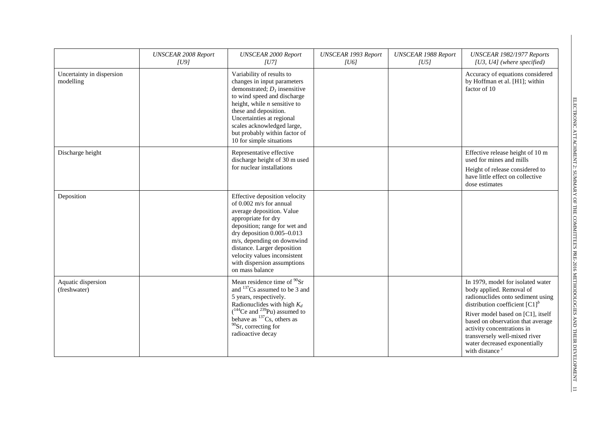|                                        | <b>UNSCEAR 2008 Report</b><br> U9 | <b>UNSCEAR 2000 Report</b><br> U7                                                                                                                                                                                                                                                                                          | <b>UNSCEAR 1993 Report</b><br>[ <sub>U6</sub> ] | <b>UNSCEAR 1988 Report</b><br> U5 | UNSCEAR 1982/1977 Reports<br>[U3, U4] (where specified)                                                                                                                                                                                                                                                                                           |
|----------------------------------------|-----------------------------------|----------------------------------------------------------------------------------------------------------------------------------------------------------------------------------------------------------------------------------------------------------------------------------------------------------------------------|-------------------------------------------------|-----------------------------------|---------------------------------------------------------------------------------------------------------------------------------------------------------------------------------------------------------------------------------------------------------------------------------------------------------------------------------------------------|
| Uncertainty in dispersion<br>modelling |                                   | Variability of results to<br>changes in input parameters<br>demonstrated; $Dl$ insensitive<br>to wind speed and discharge<br>height, while $n$ sensitive to<br>these and deposition.<br>Uncertainties at regional<br>scales acknowledged large,<br>but probably within factor of<br>10 for simple situations               |                                                 |                                   | Accuracy of equations considered<br>by Hoffman et al. [H1]; within<br>factor of 10                                                                                                                                                                                                                                                                |
| Discharge height                       |                                   | Representative effective<br>discharge height of 30 m used<br>for nuclear installations                                                                                                                                                                                                                                     |                                                 |                                   | Effective release height of 10 m<br>used for mines and mills<br>Height of release considered to<br>have little effect on collective<br>dose estimates                                                                                                                                                                                             |
| Deposition                             |                                   | Effective deposition velocity<br>of 0.002 m/s for annual<br>average deposition. Value<br>appropriate for dry<br>deposition; range for wet and<br>dry deposition 0.005-0.013<br>m/s, depending on downwind<br>distance. Larger deposition<br>velocity values inconsistent<br>with dispersion assumptions<br>on mass balance |                                                 |                                   |                                                                                                                                                                                                                                                                                                                                                   |
| Aquatic dispersion<br>(freshwater)     |                                   | Mean residence time of <sup>90</sup> Sr<br>and <sup>137</sup> Cs assumed to be 3 and<br>5 years, respectively.<br>Radionuclides with high $K_d$<br>$(^{144}Ce$ and $^{239}Pu)$ assumed to<br>behave as ${}^{137}Cs$ , others as<br>$90$ Sr, correcting for<br>radioactive decay                                            |                                                 |                                   | In 1979, model for isolated water<br>body applied. Removal of<br>radionuclides onto sediment using<br>distribution coefficient $[C1]^{b}$<br>River model based on [C1], itself<br>based on observation that average<br>activity concentrations in<br>transversely well-mixed river<br>water decreased exponentially<br>with distance <sup>c</sup> |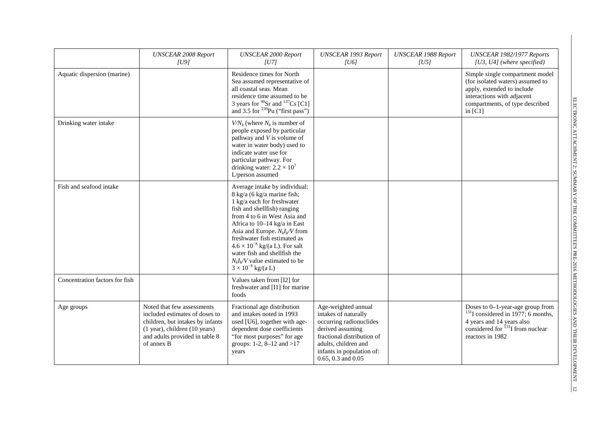|                                | <b>UNSCEAR 2008 Report</b><br> U9                                                                                                                                                     | <b>UNSCEAR 2000 Report</b><br> U7                                                                                                                                                                                                                                                                                                                                                                              | <b>UNSCEAR 1993 Report</b><br> U6                                                                                                                                                                          | <b>UNSCEAR 1988 Report</b><br> U5 | UNSCEAR 1982/1977 Reports<br>[ $U3$ , $U4$ ] (where specified)                                                                                                                  |
|--------------------------------|---------------------------------------------------------------------------------------------------------------------------------------------------------------------------------------|----------------------------------------------------------------------------------------------------------------------------------------------------------------------------------------------------------------------------------------------------------------------------------------------------------------------------------------------------------------------------------------------------------------|------------------------------------------------------------------------------------------------------------------------------------------------------------------------------------------------------------|-----------------------------------|---------------------------------------------------------------------------------------------------------------------------------------------------------------------------------|
| Aquatic dispersion (marine)    |                                                                                                                                                                                       | Residence times for North<br>Sea assumed representative of<br>all coastal seas. Mean<br>residence time assumed to be<br>3 years for $^{90}Sr$ and $^{137}Cs$ [C1]<br>and 3.5 for $^{239}$ Pu ("first pass")                                                                                                                                                                                                    |                                                                                                                                                                                                            |                                   | Simple single compartment model<br>(for isolated waters) assumed to<br>apply, extended to include<br>interactions with adjacent<br>compartments, of type described<br>in $[C1]$ |
| Drinking water intake          |                                                                                                                                                                                       | $V/N_k$ (where $N_k$ is number of<br>people exposed by particular<br>pathway and V is volume of<br>water in water body) used to<br>indicate water use for<br>particular pathway. For<br>drinking water: $2.2 \times 10^7$<br>L/person assumed                                                                                                                                                                  |                                                                                                                                                                                                            |                                   |                                                                                                                                                                                 |
| Fish and seafood intake        |                                                                                                                                                                                       | Average intake by individual:<br>8 kg/a (6 kg/a marine fish;<br>1 kg/a each for freshwater<br>fish and shellfish) ranging<br>from 4 to 6 in West Asia and<br>Africa to $10-14$ kg/a in East<br>Asia and Europe. $N_k I_k/V$ from<br>freshwater fish estimated as<br>$4.6 \times 10^{-8}$ kg/(a L). For salt<br>water fish and shellfish the<br>$N_lI_V/V$ value estimated to be<br>$3 \times 10^{-8}$ kg/(a L) |                                                                                                                                                                                                            |                                   |                                                                                                                                                                                 |
| Concentration factors for fish |                                                                                                                                                                                       | Values taken from [I2] for<br>freshwater and [I1] for marine<br>foods                                                                                                                                                                                                                                                                                                                                          |                                                                                                                                                                                                            |                                   |                                                                                                                                                                                 |
| Age groups                     | Noted that few assessments<br>included estimates of doses to<br>children, but intakes by infants<br>$(1$ year), children $(10$ years)<br>and adults provided in table 8<br>of annex B | Fractional age distribution<br>and intakes noted in 1993<br>used [U6], together with age-<br>dependent dose coefficients<br>"for most purposes" for age<br>groups: 1-2, 8-12 and >17<br>years                                                                                                                                                                                                                  | Age-weighted annual<br>intakes of naturally<br>occurring radionuclides<br>derived assuming<br>fractional distribution of<br>adults, children and<br>infants in population of:<br>$0.65$ , $0.3$ and $0.05$ |                                   | Doses to 0-1-year-age group from<br>$131$ considered in 1977; 6 months,<br>4 years and 14 years also<br>considered for $^{131}$ I from nuclear<br>reactors in 1982              |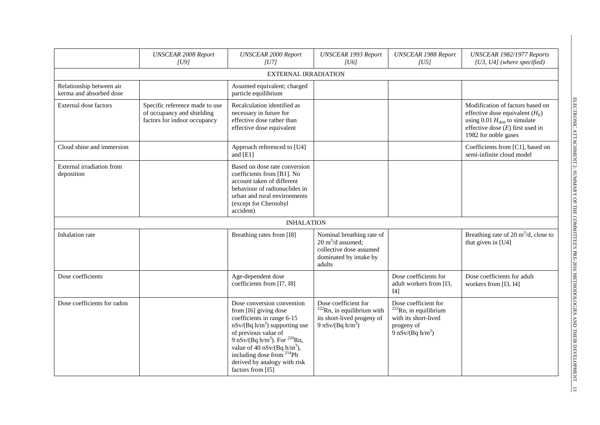|                                                     | <b>UNSCEAR 2008 Report</b><br> U9                                                            | <b>UNSCEAR 2000 Report</b><br> U7                                                                                                                                                                                                                                                                                                  | <b>UNSCEAR 1993 Report</b><br> U6                                                                                              | <b>UNSCEAR 1988 Report</b><br> U5                                                                             | UNSCEAR 1982/1977 Reports<br>$[U3, U4]$ (where specified)                                                                                                                       |  |  |  |  |
|-----------------------------------------------------|----------------------------------------------------------------------------------------------|------------------------------------------------------------------------------------------------------------------------------------------------------------------------------------------------------------------------------------------------------------------------------------------------------------------------------------|--------------------------------------------------------------------------------------------------------------------------------|---------------------------------------------------------------------------------------------------------------|---------------------------------------------------------------------------------------------------------------------------------------------------------------------------------|--|--|--|--|
| <b>EXTERNAL IRRADIATION</b>                         |                                                                                              |                                                                                                                                                                                                                                                                                                                                    |                                                                                                                                |                                                                                                               |                                                                                                                                                                                 |  |  |  |  |
| Relationship between air<br>kerma and absorbed dose |                                                                                              | Assumed equivalent; charged<br>particle equilibrium                                                                                                                                                                                                                                                                                |                                                                                                                                |                                                                                                               |                                                                                                                                                                                 |  |  |  |  |
| External dose factors                               | Specific reference made to use<br>of occupancy and shielding<br>factors for indoor occupancy | Recalculation identified as<br>necessary in future for<br>effective dose rather than<br>effective dose equivalent                                                                                                                                                                                                                  |                                                                                                                                |                                                                                                               | Modification of factors based on<br>effective dose equivalent $(H_E)$<br>using 0.01 $H_{\text{skin}}$ to simulate<br>effective dose $(E)$ first used in<br>1982 for noble gases |  |  |  |  |
| Cloud shine and immersion                           |                                                                                              | Approach referenced to [U4]<br>and [E1]                                                                                                                                                                                                                                                                                            |                                                                                                                                |                                                                                                               | Coefficients from [C1], based on<br>semi-infinite cloud model                                                                                                                   |  |  |  |  |
| External irradiation from<br>deposition             |                                                                                              | Based on dose rate conversion<br>coefficients from [B1]. No<br>account taken of different<br>behaviour of radionuclides in<br>urban and rural environments<br>(except for Chernobyl<br>accident)                                                                                                                                   |                                                                                                                                |                                                                                                               |                                                                                                                                                                                 |  |  |  |  |
|                                                     |                                                                                              | <b>INHALATION</b>                                                                                                                                                                                                                                                                                                                  |                                                                                                                                |                                                                                                               |                                                                                                                                                                                 |  |  |  |  |
| Inhalation rate                                     |                                                                                              | Breathing rates from [I8]                                                                                                                                                                                                                                                                                                          | Nominal breathing rate of<br>$20 \text{ m}^3/\text{d}$ assumed;<br>collective dose assumed<br>dominated by intake by<br>adults |                                                                                                               | Breathing rate of 20 $m^3/d$ , close to<br>that given in [U4]                                                                                                                   |  |  |  |  |
| Dose coefficients                                   |                                                                                              | Age-dependent dose<br>coefficients from [I7, 18]                                                                                                                                                                                                                                                                                   |                                                                                                                                | Dose coefficients for<br>adult workers from [I3,<br>[4]                                                       | Dose coefficients for adult<br>workers from [I3, I4]                                                                                                                            |  |  |  |  |
| Dose coefficients for radon                         |                                                                                              | Dose conversion convention<br>from [I6] giving dose<br>coefficients in range 6-15<br>$nSv/(Bq h/m3)$ supporting use<br>of previous value of<br>9 nSv/(Bq h/m <sup>3</sup> ). For <sup>220</sup> Rn,<br>value of 40 nSv/(Bq $h/m3$ ),<br>including dose from <sup>214</sup> Pb<br>derived by analogy with risk<br>factors from [15] | Dose coefficient for<br>$222$ Rn, in equilibrium with<br>its short-lived progeny of<br>9 nSv/(Bq $h/m^3$ )                     | Dose coefficient for<br>$222$ Rn, in equilibrium<br>with its short-lived<br>progeny of<br>9 nSv/ $(Bq h/m^3)$ |                                                                                                                                                                                 |  |  |  |  |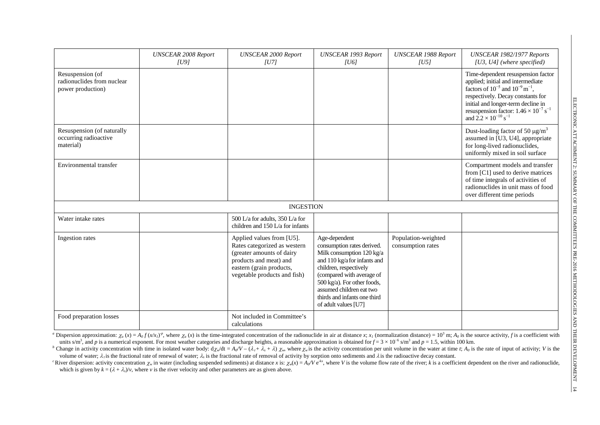|                                                                     | <b>UNSCEAR 2008 Report</b><br>[U9] | <b>UNSCEAR 2000 Report</b><br> U7                                                                                                                                            | <b>UNSCEAR 1993 Report</b><br>[ <sub>U6</sub> ]                                                                                                                                                                                                                                    | <b>UNSCEAR 1988 Report</b><br> U5        | UNSCEAR 1982/1977 Reports<br>[U3, U4] (where specified)                                                                                                                                                                                                                                                               |
|---------------------------------------------------------------------|------------------------------------|------------------------------------------------------------------------------------------------------------------------------------------------------------------------------|------------------------------------------------------------------------------------------------------------------------------------------------------------------------------------------------------------------------------------------------------------------------------------|------------------------------------------|-----------------------------------------------------------------------------------------------------------------------------------------------------------------------------------------------------------------------------------------------------------------------------------------------------------------------|
| Resuspension (of<br>radionuclides from nuclear<br>power production) |                                    |                                                                                                                                                                              |                                                                                                                                                                                                                                                                                    |                                          | Time-dependent resuspension factor<br>applied; initial and intermediate<br>factors of $10^{-5}$ and $10^{-9}$ m <sup>-1</sup> ,<br>respectively. Decay constants for<br>initial and longer-term decline in<br>resuspension factor: $1.46 \times 10^{-7}$ s <sup>-1</sup><br>and $2.2 \times 10^{-10}$ s <sup>-1</sup> |
| Resuspension (of naturally<br>occurring radioactive<br>material)    |                                    |                                                                                                                                                                              |                                                                                                                                                                                                                                                                                    |                                          | Dust-loading factor of 50 $\mu$ g/m <sup>3</sup><br>assumed in [U3, U4], appropriate<br>for long-lived radionuclides,<br>uniformly mixed in soil surface                                                                                                                                                              |
| Environmental transfer                                              |                                    |                                                                                                                                                                              |                                                                                                                                                                                                                                                                                    |                                          | Compartment models and transfer<br>from [C1] used to derive matrices<br>of time integrals of activities of<br>radionuclides in unit mass of food<br>over different time periods                                                                                                                                       |
|                                                                     |                                    | <b>INGESTION</b>                                                                                                                                                             |                                                                                                                                                                                                                                                                                    |                                          |                                                                                                                                                                                                                                                                                                                       |
| Water intake rates                                                  |                                    | 500 L/a for adults, 350 L/a for<br>children and 150 L/a for infants                                                                                                          |                                                                                                                                                                                                                                                                                    |                                          |                                                                                                                                                                                                                                                                                                                       |
| Ingestion rates                                                     |                                    | Applied values from [U5].<br>Rates categorized as western<br>(greater amounts of dairy<br>products and meat) and<br>eastern (grain products,<br>vegetable products and fish) | Age-dependent<br>consumption rates derived.<br>Milk consumption 120 kg/a<br>and 110 kg/a for infants and<br>children, respectively<br>(compared with average of<br>500 kg/a). For other foods,<br>assumed children eat two<br>thirds and infants one third<br>of adult values [U7] | Population-weighted<br>consumption rates |                                                                                                                                                                                                                                                                                                                       |
| Food preparation losses                                             |                                    | Not included in Committee's<br>calculations                                                                                                                                  |                                                                                                                                                                                                                                                                                    |                                          |                                                                                                                                                                                                                                                                                                                       |

" Dispersion approximation:  $\chi_a(x) = A_0 f(x \chi t)^p$ , where  $\chi_a(x)$  is the time-integrated concentration of the radionuclide in air at distance x;  $x_1$  (normalization distance) = 10<sup>3</sup> m;  $A_0$  is the source activity, f is a c units s/m<sup>3</sup>, and *p* is a numerical exponent. For most weather categories and discharge heights, a reasonable approximation is obtained for  $f = 3 \times 10^{-6}$  s/m<sup>3</sup> and  $p = 1.5$ , within 100 km.

<sup>b</sup> Change in activity concentration with time in isolated water body:  $d\chi_w/dt = A_0/V - (\lambda_r + \lambda_s + \lambda) \chi_w$ , where  $\chi_w$  is the activity concentration per unit volume in the water at time t;  $A_0$  is the rate of input of activity volume of water;  $\lambda_{\tau}$  is the fractional rate of renewal of water;  $\lambda_{\tau}$  is the fractional rate of removal of activity by sorption onto sediments and  $\lambda$  is the radioactive decay constant.

<sup>c</sup> River dispersion: activity concentration  $\chi_w$  in water (including suspended sediments) at distance x is:  $\chi_w(x) = A_0/V$  e<sup>-kx</sup>, where V is the volume flow rate of the river; k is a coefficient dependent on the river an which is given by  $k = (\lambda + \lambda_i)/\nu$ , where  $\nu$  is the river velocity and other parameters are as given above.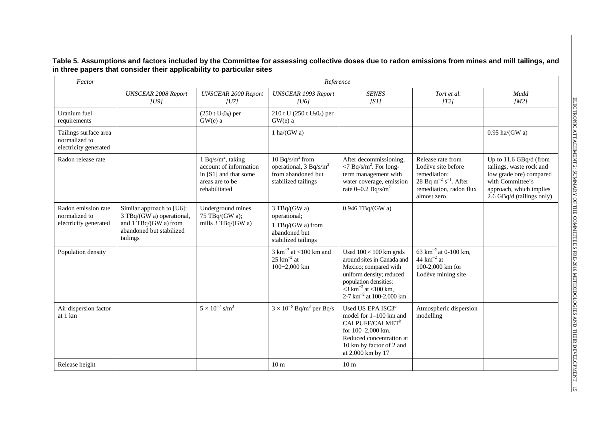**Table 5. Assumptions and factors included by the Committee for assessing collective doses due to radon emissions from mines and mill tailings, and in three papers that consider their applicability to particular sites**

| Factor                                                          |                                                                                                                         |                                                                                                                       | Reference                                                                                             |                                                                                                                                                                                                                       |                                                                                                                                                    |                                                                                                                                                           |
|-----------------------------------------------------------------|-------------------------------------------------------------------------------------------------------------------------|-----------------------------------------------------------------------------------------------------------------------|-------------------------------------------------------------------------------------------------------|-----------------------------------------------------------------------------------------------------------------------------------------------------------------------------------------------------------------------|----------------------------------------------------------------------------------------------------------------------------------------------------|-----------------------------------------------------------------------------------------------------------------------------------------------------------|
|                                                                 | <b>UNSCEAR 2008 Report</b><br> U9                                                                                       | <b>UNSCEAR 2000 Report</b><br> U7                                                                                     | <b>UNSCEAR 1993 Report</b><br> U6                                                                     | <b>SENES</b><br>[SI]                                                                                                                                                                                                  | Tort et al.<br>[T2]                                                                                                                                | Mudd<br>[M2]                                                                                                                                              |
| Uranium fuel<br>requirements                                    |                                                                                                                         | $(250 \text{ t } U_3O_8)$ per<br>$GW(e)$ a                                                                            | 210 t U (250 t $U_3O_8$ ) per<br>$GW(e)$ a                                                            |                                                                                                                                                                                                                       |                                                                                                                                                    |                                                                                                                                                           |
| Tailings surface area<br>normalized to<br>electricity generated |                                                                                                                         |                                                                                                                       | 1 ha/ $(GWa)$                                                                                         |                                                                                                                                                                                                                       |                                                                                                                                                    | $0.95$ ha/(GW a)                                                                                                                                          |
| Radon release rate                                              |                                                                                                                         | 1 Bq/s/m <sup>2</sup> , taking<br>account of information<br>in [S1] and that some<br>areas are to be<br>rehabilitated | 10 Bq/s/ $m^2$ from<br>operational, $3 \text{ Bq/s/m}^2$<br>from abandoned but<br>stabilized tailings | After decommissioning,<br>$\langle 7 \text{ Bq/s/m}^2 \rangle$ . For long-<br>term management with<br>water coverage, emission<br>rate $0-0.2$ Bq/s/m <sup>2</sup>                                                    | Release rate from<br>Lodève site before<br>remediation:<br>28 Bq m <sup>-2</sup> s <sup>-1</sup> . After<br>remediation, radon flux<br>almost zero | Up to 11.6 GBq/d (from<br>tailings, waste rock and<br>low grade ore) compared<br>with Committee's<br>approach, which implies<br>2.6 GBq/d (tailings only) |
| Radon emission rate<br>normalized to<br>electricity generated   | Similar approach to [U6]:<br>3 TBq/(GW a) operational,<br>and 1 TBq/(GW a) from<br>abandoned but stabilized<br>tailings | Underground mines<br>75 TBq/(GW a);<br>mills 3 TBq/(GW a)                                                             | 3 TBq/(GW a)<br>operational;<br>1 TBq/(GW a) from<br>abandoned but<br>stabilized tailings             | $0.946$ TBq/(GW a)                                                                                                                                                                                                    |                                                                                                                                                    |                                                                                                                                                           |
| Population density                                              |                                                                                                                         |                                                                                                                       | $3 \text{ km}^{-2}$ at <100 km and<br>$25 \text{ km}^{-2}$ at<br>$100 - 2,000$ km                     | Used $100 \times 100$ km grids<br>around sites in Canada and<br>Mexico; compared with<br>uniform density; reduced<br>population densities:<br>$\sqrt{3} \text{ km}^{-2}$ at <100 km,<br>2-7 $km^{-2}$ at 100-2,000 km | 63 km <sup>-2</sup> at 0-100 km,<br>44 $km^{-2}$ at<br>100-2,000 km for<br>Lodève mining site                                                      |                                                                                                                                                           |
| Air dispersion factor<br>at 1 km                                |                                                                                                                         | $5 \times 10^{-7}$ s/m <sup>3</sup>                                                                                   | $3 \times 10^{-6}$ Bq/m <sup>3</sup> per Bq/s                                                         | Used US EPA ISC3 <sup>a</sup><br>model for 1-100 km and<br>$CALPUFF/CALMET^b$<br>for $100 - 2.000$ km.<br>Reduced concentration at<br>10 km by factor of 2 and<br>at 2,000 km by 17                                   | Atmospheric dispersion<br>modelling                                                                                                                |                                                                                                                                                           |
| Release height                                                  |                                                                                                                         |                                                                                                                       | 10 <sub>m</sub>                                                                                       | 10 <sub>m</sub>                                                                                                                                                                                                       |                                                                                                                                                    |                                                                                                                                                           |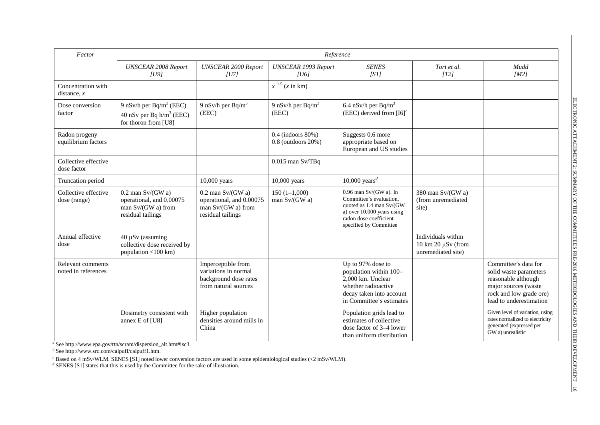| Factor                                   | Reference                                                                                  |                                                                                             |                                                     |                                                                                                                                                                     |                                                                                    |                                                                                                                                                     |
|------------------------------------------|--------------------------------------------------------------------------------------------|---------------------------------------------------------------------------------------------|-----------------------------------------------------|---------------------------------------------------------------------------------------------------------------------------------------------------------------------|------------------------------------------------------------------------------------|-----------------------------------------------------------------------------------------------------------------------------------------------------|
|                                          | <b>UNSCEAR 2008 Report</b><br>[U9]                                                         | <b>UNSCEAR 2000 Report</b><br>[U7]                                                          | <b>UNSCEAR 1993 Report</b><br>[ <sub>U6</sub> ]     | <b>SENES</b><br>[SI]                                                                                                                                                | Tort et al.<br>[T2]                                                                | Mudd<br>[M2]                                                                                                                                        |
| Concentration with<br>distance, $x$      |                                                                                            |                                                                                             | $x^{-1.5}$ (x in km)                                |                                                                                                                                                                     |                                                                                    |                                                                                                                                                     |
| Dose conversion<br>factor                | 9 nSv/h per $Bq/m^3$ (EEC)<br>40 nSv per Bq $h/m3$ (EEC)<br>for thoron from [U8]           | 9 nSv/h per Bq/m <sup>3</sup><br>(EEC)                                                      | 9 nSv/h per Bq/m <sup>3</sup><br>(EEC)              | 6.4 nSv/h per $Bq/m^3$<br>(EEC) derived from $[16]^{c}$                                                                                                             |                                                                                    |                                                                                                                                                     |
| Radon progeny<br>equilibrium factors     |                                                                                            |                                                                                             | $0.4$ (indoors $80\%$ )<br>$0.8$ (outdoors $20\%$ ) | Suggests 0.6 more<br>appropriate based on<br>European and US studies                                                                                                |                                                                                    |                                                                                                                                                     |
| Collective effective<br>dose factor      |                                                                                            |                                                                                             | $0.015$ man Sv/TBq                                  |                                                                                                                                                                     |                                                                                    |                                                                                                                                                     |
| Truncation period                        |                                                                                            | 10,000 years                                                                                | 10,000 years                                        | 10,000 years <sup><math>d</math></sup>                                                                                                                              |                                                                                    |                                                                                                                                                     |
| Collective effective<br>dose (range)     | $0.2$ man Sv/(GW a)<br>operational, and 0.00075<br>man Sv/(GW a) from<br>residual tailings | $0.2$ man Sv/(GW a)<br>operational, and 0.00075<br>man Sv/(GW a) from<br>residual tailings  | $150(1-1,000)$<br>man Sv/(GW a)                     | $0.96$ man Sv/(GW a). In<br>Committee's evaluation,<br>quoted as 1.4 man Sv/(GW<br>a) over $10,000$ years using<br>radon dose coefficient<br>specified by Committee | 380 man Sv/(GW a)<br>(from unremediated<br>site)                                   |                                                                                                                                                     |
| Annual effective<br>dose                 | $40 \mu Sv$ (assuming<br>collective dose received by<br>population <100 km)                |                                                                                             |                                                     |                                                                                                                                                                     | Individuals within<br>$10 \text{ km } 20 \mu\text{S}v$ (from<br>unremediated site) |                                                                                                                                                     |
| Relevant comments<br>noted in references |                                                                                            | Imperceptible from<br>variations in normal<br>background dose rates<br>from natural sources |                                                     | Up to 97% dose to<br>population within 100-<br>2,000 km. Unclear<br>whether radioactive<br>decay taken into account<br>in Committee's estimates                     |                                                                                    | Committee's data for<br>solid waste parameters<br>reasonable although<br>major sources (waste<br>rock and low grade ore)<br>lead to underestimation |
|                                          | Dosimetry consistent with<br>annex E of [U8]                                               | Higher population<br>densities around mills in<br>China                                     |                                                     | Population grids lead to<br>estimates of collective<br>dose factor of 3-4 lower<br>than uniform distribution                                                        |                                                                                    | Given level of variation, using<br>rates normalized to electricity<br>generated (expressed per<br>GW a) unrealistic                                 |

*<sup>a</sup>* See http://www.epa.gov/ttn/scram/dispersion\_alt.htm#isc3.

*<sup>b</sup>* See http://www.src.com/calpuff/calpuff1.htm.

*c* Based on 4 mSv/WLM. SENES [S1] noted lower conversion factors are used in some epidemiological studies (<2 mSv/WLM). *d* SENES [S1] states that this is used by the Committee for the sake of illustration.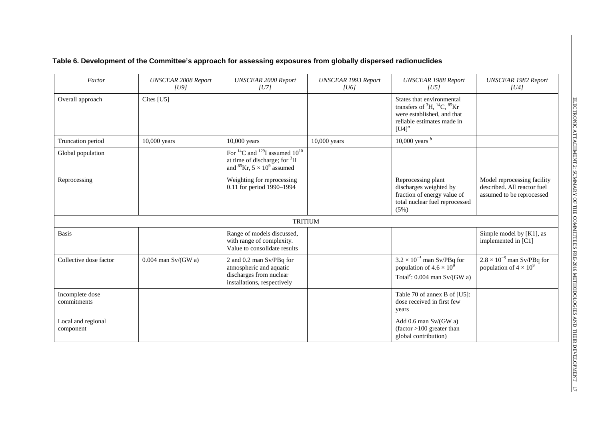## **Table 6. Development of the Committee's approach for assessing exposures from globally dispersed radionuclides**

| Factor                          | <b>UNSCEAR 2008 Report</b><br> U9 | <b>UNSCEAR 2000 Report</b><br> U7                                                                                                                  | <b>UNSCEAR 1993 Report</b><br> U6 | <b>UNSCEAR 1988 Report</b><br> U5                                                                                                                  | <b>UNSCEAR 1982 Report</b><br> U4                                                       |
|---------------------------------|-----------------------------------|----------------------------------------------------------------------------------------------------------------------------------------------------|-----------------------------------|----------------------------------------------------------------------------------------------------------------------------------------------------|-----------------------------------------------------------------------------------------|
| Overall approach                | Cites [U5]                        |                                                                                                                                                    |                                   | States that environmental<br>transfers of ${}^{3}H, {}^{14}C, {}^{85}Kr$<br>were established, and that<br>reliable estimates made in<br>$[U4]^{a}$ |                                                                                         |
| Truncation period               | 10,000 years                      | 10,000 years                                                                                                                                       | 10,000 years                      | 10,000 years $b$                                                                                                                                   |                                                                                         |
| Global population               |                                   | For <sup>14</sup> C and <sup>129</sup> I assumed $10^{10}$<br>at time of discharge; for ${}^{3}H$<br>and <sup>85</sup> Kr, $5 \times 10^9$ assumed |                                   |                                                                                                                                                    |                                                                                         |
| Reprocessing                    |                                   | Weighting for reprocessing<br>0.11 for period 1990-1994                                                                                            |                                   | Reprocessing plant<br>discharges weighted by<br>fraction of energy value of<br>total nuclear fuel reprocessed<br>(5%)                              | Model reprocessing facility<br>described. All reactor fuel<br>assumed to be reprocessed |
|                                 |                                   | <b>TRITIUM</b>                                                                                                                                     |                                   |                                                                                                                                                    |                                                                                         |
| <b>Basis</b>                    |                                   | Range of models discussed,<br>with range of complexity.<br>Value to consolidate results                                                            |                                   |                                                                                                                                                    | Simple model by [K1], as<br>implemented in [C1]                                         |
| Collective dose factor          | $0.004$ man Sv/(GW a)             | 2 and 0.2 man Sv/PBq for<br>atmospheric and aquatic<br>discharges from nuclear<br>installations, respectively                                      |                                   | $3.2\times10^{-5}$ man Sv/PBq for<br>population of $4.6 \times 10^9$<br>Total <sup>c</sup> : $0.004$ man Sv/(GW a)                                 | $2.8 \times 10^{-5}$ man Sv/PBq for<br>population of $4 \times 10^9$                    |
| Incomplete dose<br>commitments  |                                   |                                                                                                                                                    |                                   | Table 70 of annex B of [U5]:<br>dose received in first few<br>years                                                                                |                                                                                         |
| Local and regional<br>component |                                   |                                                                                                                                                    |                                   | Add $0.6$ man Sv/(GW a)<br>$(factor > 100)$ greater than<br>global contribution)                                                                   |                                                                                         |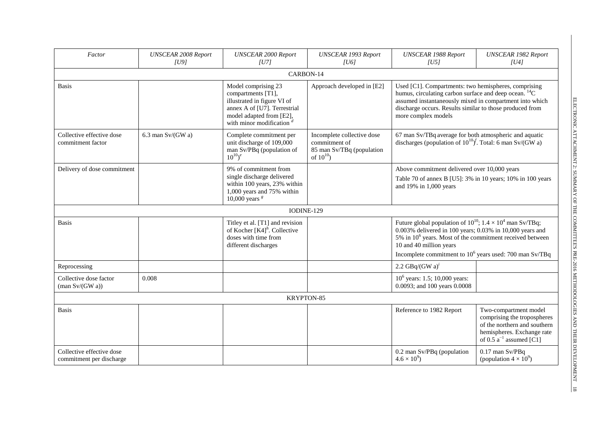| Factor                                                    | <b>UNSCEAR 2008 Report</b><br> U9 | <b>UNSCEAR 2000 Report</b><br> U7                                                                                                                                   | <b>UNSCEAR 1993 Report</b><br> U6                                                          | <b>UNSCEAR 1988 Report</b><br> U5                                                                                                                                                                                                                                                         | <b>UNSCEAR 1982 Report</b><br> U4                                                                                                                 |  |  |  |  |
|-----------------------------------------------------------|-----------------------------------|---------------------------------------------------------------------------------------------------------------------------------------------------------------------|--------------------------------------------------------------------------------------------|-------------------------------------------------------------------------------------------------------------------------------------------------------------------------------------------------------------------------------------------------------------------------------------------|---------------------------------------------------------------------------------------------------------------------------------------------------|--|--|--|--|
|                                                           | CARBON-14                         |                                                                                                                                                                     |                                                                                            |                                                                                                                                                                                                                                                                                           |                                                                                                                                                   |  |  |  |  |
| <b>Basis</b>                                              |                                   | Model comprising 23<br>compartments [T1],<br>illustrated in figure VI of<br>annex A of [U7]. Terrestrial<br>model adapted from [E2],<br>with minor modification $d$ | Approach developed in [E2]                                                                 | Used [C1]. Compartments: two hemispheres, comprising<br>humus, circulating carbon surface and deep ocean. ${}^{14}C$<br>assumed instantaneously mixed in compartment into which<br>discharge occurs. Results similar to those produced from<br>more complex models                        |                                                                                                                                                   |  |  |  |  |
| Collective effective dose<br>commitment factor            | 6.3 man $Sv/(GW a)$               | Complete commitment per<br>unit discharge of 109,000<br>man Sv/PBq (population of<br>$10^{10}$ ) <sup>e</sup>                                                       | Incomplete collective dose<br>commitment of<br>85 man Sv/TBq (population<br>of $10^{10}$ ) | 67 man Sv/TBq average for both atmospheric and aquatic<br>discharges (population of $10^{10}$ ) <sup>f</sup> . Total: 6 man Sv/(GW a)                                                                                                                                                     |                                                                                                                                                   |  |  |  |  |
| Delivery of dose commitment                               |                                   | 9% of commitment from<br>single discharge delivered<br>within 100 years, 23% within<br>1,000 years and 75% within<br>10,000 years $s$                               |                                                                                            | Above commitment delivered over 10,000 years<br>Table 70 of annex B [U5]: 3% in 10 years; 10% in 100 years<br>and 19% in 1,000 years                                                                                                                                                      |                                                                                                                                                   |  |  |  |  |
|                                                           |                                   | IODINE-129                                                                                                                                                          |                                                                                            |                                                                                                                                                                                                                                                                                           |                                                                                                                                                   |  |  |  |  |
| <b>Basis</b>                                              |                                   | Titley et al. [T1] and revision<br>of Kocher $[K4]^h$ . Collective<br>doses with time from<br>different discharges                                                  |                                                                                            | Future global population of $10^{10}$ ; $1.4 \times 10^4$ man Sv/TBq;<br>0.003% delivered in 100 years; 0.03% in 10,000 years and<br>5% in $10^6$ years. Most of the commitment received between<br>10 and 40 million years<br>Incomplete commitment to $10^6$ years used: 700 man Sv/TBq |                                                                                                                                                   |  |  |  |  |
| Reprocessing                                              |                                   |                                                                                                                                                                     |                                                                                            | 2.2 GBq/(GW $a)^i$                                                                                                                                                                                                                                                                        |                                                                                                                                                   |  |  |  |  |
| Collective dose factor<br>$(\text{man Sv}/(\text{GW a}))$ | 0.008                             |                                                                                                                                                                     |                                                                                            | $10^6$ years: 1.5; 10,000 years:<br>0.0093; and 100 years 0.0008                                                                                                                                                                                                                          |                                                                                                                                                   |  |  |  |  |
|                                                           |                                   | KRYPTON-85                                                                                                                                                          |                                                                                            |                                                                                                                                                                                                                                                                                           |                                                                                                                                                   |  |  |  |  |
| <b>Basis</b>                                              |                                   |                                                                                                                                                                     |                                                                                            | Reference to 1982 Report                                                                                                                                                                                                                                                                  | Two-compartment model<br>comprising the tropospheres<br>of the northern and southern<br>hemispheres. Exchange rate<br>of $0.5a^{-1}$ assumed [C1] |  |  |  |  |
| Collective effective dose<br>commitment per discharge     |                                   |                                                                                                                                                                     |                                                                                            | 0.2 man Sv/PBq (population<br>$4.6 \times 10^{9}$ )                                                                                                                                                                                                                                       | 0.17 man Sv/PBq<br>(population $4 \times 10^9$ )                                                                                                  |  |  |  |  |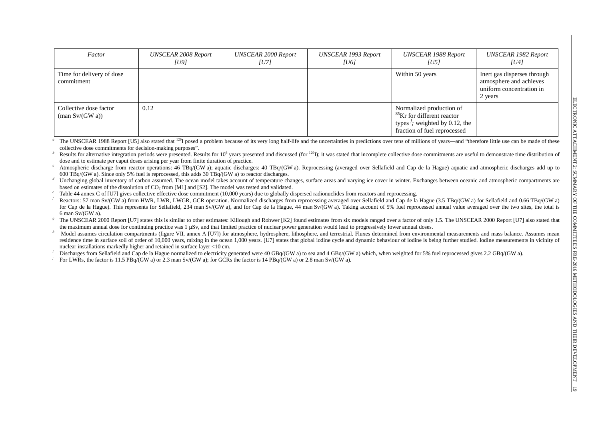| Factor                                                    | <b>UNSCEAR 2008 Report</b><br>[U9] | UNSCEAR 2000 Report<br>TU71 | UNSCEAR 1993 Report<br>[U6] | UNSCEAR 1988 Report<br>[U5]                                                                                                                       | UNSCEAR 1982 Report<br>[U4]                                                                   |
|-----------------------------------------------------------|------------------------------------|-----------------------------|-----------------------------|---------------------------------------------------------------------------------------------------------------------------------------------------|-----------------------------------------------------------------------------------------------|
| Time for delivery of dose<br>commitment                   |                                    |                             |                             | Within 50 years                                                                                                                                   | Inert gas disperses through<br>atmosphere and achieves<br>uniform concentration in<br>2 years |
| Collective dose factor<br>$(\text{man Sv}/(\text{GW a}))$ | 0.12                               |                             |                             | Normalized production of<br><sup>85</sup> Kr for different reactor<br>types $\frac{j}{r}$ ; weighted by 0.12, the<br>fraction of fuel reprocessed |                                                                                               |

The UNSCEAR 1988 Report [U5] also stated that <sup>129</sup>I posed a problem because of its very long half-life and the uncertainties in predictions over tens of millions of years—and "therefore little use can be made of these col

Results for alternative integration periods were presented. Results for  $10^6$  years presented and discussed (for  $^{129}$ ); it was stated that incomplete collective dose commitments are useful to demonstrate time distribu

Atmospheric discharge from reactor operations: 46 TBq/(GW a); aquatic discharges: 40 TBq/(GW a). Reprocessing (averaged over Sellafield and Cap de la Hague) aquatic and atmospheric discharges add up to 600 TBq/(GW a). Since only 5% fuel is reprocessed, this adds 30 TBq/(GW a) to reactor discharges.

Unchanging global inventory of carbon assumed. The ocean model takes account of temperature changes, surface areas and varying ice cover in winter. Exchanges between oceanic and atmospheric compartments are based on estima

Table 44 annex C of [U7] gives collective effective dose commitment (10.000 years) due to globally dispersed radionuclides from reactors and reprocessing.

*f* Reactors: 57 man Sv/(GW a) from HWR, LWGR, GCR operation. Normalized discharges from reprocessing averaged over Sellafield and Cap de la Hague (3.5 TBq/(GW a) for Sellafield and 0.66 TBq/(GW a) for Cap de la Hague). This represents for Sellafield, 234 man Sy/(GW a), and for Cap de la Hague, 44 man Sy/(GW a). Taking account of 5% fuel reprocessed annual value averaged over the two sites, the total is  $6$  man  $Sv/(GW a)$ .

The UNSCEAR 2000 Report [U7] states this is similar to other estimates: Killough and Rohwer [K2] found estimates from six models ranged over a factor of only 1.5. The UNSCEAR 2000 Report [U7] also stated that the maximum annual dose for continuing practice was 1 µSv, and that limited practice of nuclear power generation would lead to progressively lower annual doses.

*Model assumes circulation compartments (figure VII, annex A [U7]) for atmosphere, hydrosphere, lithosphere, and terrestrial. Fluxes determined from environmental measurements and mass balance. Assumes mean* residence time in surface soil of order of 10,000 years, mixing in the ocean 1,000 years. [U7] states that global iodine cycle and dynamic behaviour of iodine is being further studied. Iodine measurements in vicinity of nuclear installations markedly higher and retained in surface layer <10 cm.

Discharges from Sellafield and Cap de la Hague normalized to electricity generated were 40 GBq/(GW a) to sea and 4 GBq/(GW a) which, when weighted for 5% fuel reprocessed gives 2.2 GBq/(GW a).

For LWRs, the factor is 11.5 PBq/(GW a) or 2.3 man Sv/(GW a); for GCRs the factor is 14 PBq/(GW a) or 2.8 man Sv/(GW a).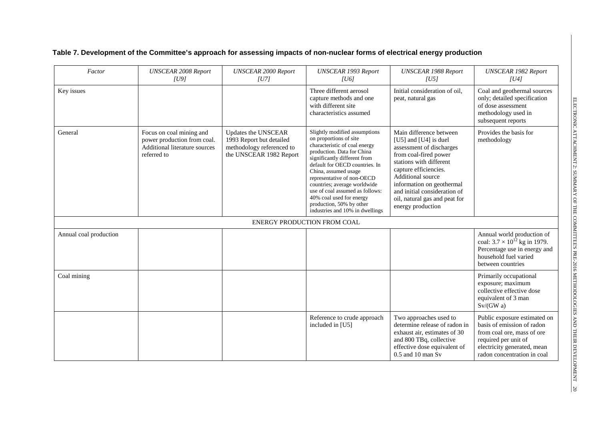|  |  |  | Table 7. Development of the Committee's approach for assessing impacts of non-nuclear forms of electrical energy production |
|--|--|--|-----------------------------------------------------------------------------------------------------------------------------|
|--|--|--|-----------------------------------------------------------------------------------------------------------------------------|

| Factor                 | <b>UNSCEAR 2008 Report</b><br>[U9]                                                                      | <b>UNSCEAR 2000 Report</b><br>[U7]                                                                      | <b>UNSCEAR 1993 Report</b><br>[ <sub>U6</sub> ]                                                                                                                                                                                                                                                                                                                                                              | <b>UNSCEAR 1988 Report</b><br> U5                                                                                                                                                                                                                                                                         | <b>UNSCEAR 1982 Report</b><br>[U4]                                                                                                                                             |
|------------------------|---------------------------------------------------------------------------------------------------------|---------------------------------------------------------------------------------------------------------|--------------------------------------------------------------------------------------------------------------------------------------------------------------------------------------------------------------------------------------------------------------------------------------------------------------------------------------------------------------------------------------------------------------|-----------------------------------------------------------------------------------------------------------------------------------------------------------------------------------------------------------------------------------------------------------------------------------------------------------|--------------------------------------------------------------------------------------------------------------------------------------------------------------------------------|
| Key issues             |                                                                                                         |                                                                                                         | Three different aerosol<br>capture methods and one<br>with different site<br>characteristics assumed                                                                                                                                                                                                                                                                                                         | Initial consideration of oil,<br>peat, natural gas                                                                                                                                                                                                                                                        | Coal and geothermal sources<br>only; detailed specification<br>of dose assessment<br>methodology used in<br>subsequent reports                                                 |
| General                | Focus on coal mining and<br>power production from coal.<br>Additional literature sources<br>referred to | Updates the UNSCEAR<br>1993 Report but detailed<br>methodology referenced to<br>the UNSCEAR 1982 Report | Slightly modified assumptions<br>on proportions of site<br>characteristic of coal energy<br>production. Data for China<br>significantly different from<br>default for OECD countries. In<br>China, assumed usage<br>representative of non-OECD<br>countries; average worldwide<br>use of coal assumed as follows:<br>40% coal used for energy<br>production, 50% by other<br>industries and 10% in dwellings | Main difference between<br>[ $U5$ ] and [ $U4$ ] is duel<br>assessment of discharges<br>from coal-fired power<br>stations with different<br>capture efficiencies.<br>Additional source<br>information on geothermal<br>and initial consideration of<br>oil, natural gas and peat for<br>energy production | Provides the basis for<br>methodology                                                                                                                                          |
|                        |                                                                                                         | ENERGY PRODUCTION FROM COAL                                                                             |                                                                                                                                                                                                                                                                                                                                                                                                              |                                                                                                                                                                                                                                                                                                           |                                                                                                                                                                                |
| Annual coal production |                                                                                                         |                                                                                                         |                                                                                                                                                                                                                                                                                                                                                                                                              |                                                                                                                                                                                                                                                                                                           | Annual world production of<br>coal: $3.7 \times 10^{12}$ kg in 1979.<br>Percentage use in energy and<br>household fuel varied<br>between countries                             |
| Coal mining            |                                                                                                         |                                                                                                         |                                                                                                                                                                                                                                                                                                                                                                                                              |                                                                                                                                                                                                                                                                                                           | Primarily occupational<br>exposure; maximum<br>collective effective dose<br>equivalent of 3 man<br>Sv/(GW a)                                                                   |
|                        |                                                                                                         |                                                                                                         | Reference to crude approach<br>included in [U5]                                                                                                                                                                                                                                                                                                                                                              | Two approaches used to<br>determine release of radon in<br>exhaust air, estimates of 30<br>and 800 TBq, collective<br>effective dose equivalent of<br>$0.5$ and $10$ man S <sub>v</sub>                                                                                                                   | Public exposure estimated on<br>basis of emission of radon<br>from coal ore, mass of ore<br>required per unit of<br>electricity generated, mean<br>radon concentration in coal |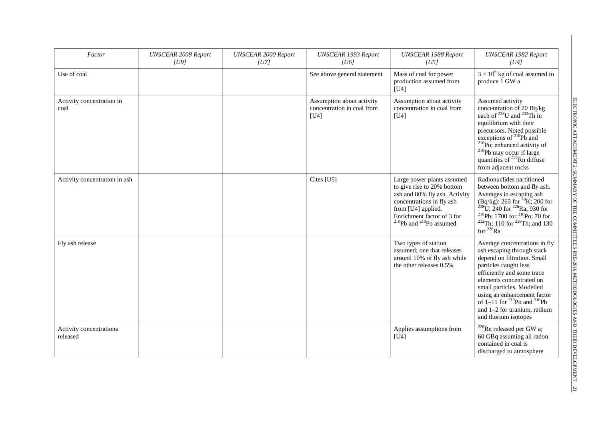| Factor                              | <b>UNSCEAR 2008 Report</b><br> U9 | <b>UNSCEAR 2000 Report</b><br> U7 | <b>UNSCEAR 1993 Report</b><br> U6                               | <b>UNSCEAR 1988 Report</b><br> U5                                                                                                                                                                                 | <b>UNSCEAR 1982 Report</b><br> U4                                                                                                                                                                                                                                                                                                                         |
|-------------------------------------|-----------------------------------|-----------------------------------|-----------------------------------------------------------------|-------------------------------------------------------------------------------------------------------------------------------------------------------------------------------------------------------------------|-----------------------------------------------------------------------------------------------------------------------------------------------------------------------------------------------------------------------------------------------------------------------------------------------------------------------------------------------------------|
| Use of coal                         |                                   |                                   | See above general statement                                     | Mass of coal for power<br>production assumed from<br>[U4]                                                                                                                                                         | $3 \times 10^9$ kg of coal assumed to<br>produce 1 GW a                                                                                                                                                                                                                                                                                                   |
| Activity concentration in<br>coal   |                                   |                                   | Assumption about activity<br>concentration in coal from<br>[U4] | Assumption about activity<br>concentration in coal from<br>[U4]                                                                                                                                                   | Assumed activity<br>concentration of 20 Bq/kg<br>each of $^{238}$ U and $^{232}$ Th in<br>equilibrium with their<br>precursors. Noted possible<br>exceptions of <sup>210</sup> Pb and<br>$210$ Po; enhanced activity of<br><sup>210</sup> Pb may occur if large<br>quantities of <sup>222</sup> Rn diffuse<br>from adjacent rocks                         |
| Activity concentration in ash       |                                   |                                   | Cites [U5]                                                      | Large power plants assumed<br>to give rise to 20% bottom<br>ash and 80% fly ash. Activity<br>concentrations in fly ash<br>from [U4] applied.<br>Enrichment factor of 3 for<br>$^{210}$ Pb and $^{210}$ Po assumed | Radionuclides partitioned<br>between bottom and fly ash.<br>Averages in escaping ash<br>(Bq/kg): 265 for $^{40}$ K; 200 for $^{238}$ U; 240 for $^{226}$ Ra; 930 for<br><sup>210</sup> Pb; 1700 for <sup>210</sup> Po; 70 for<br><sup>232</sup> Th; 110 for <sup>228</sup> Th; and 130<br>for $^{228}$ Ra                                                 |
| Fly ash release                     |                                   |                                   |                                                                 | Two types of station<br>assumed; one that releases<br>around 10% of fly ash while<br>the other releases 0.5%                                                                                                      | Average concentrations in fly<br>ash escaping through stack<br>depend on filtration. Small<br>particles caught less<br>efficiently and some trace<br>elements concentrated on<br>small particles. Modelled<br>using an enhancement factor<br>of $1-11$ for <sup>210</sup> Po and <sup>210</sup> Pb<br>and 1-2 for uranium, radium<br>and thorium isotopes |
| Activity concentrations<br>released |                                   |                                   |                                                                 | Applies assumptions from<br>[U4]                                                                                                                                                                                  | <sup>220</sup> Rn released per GW a;<br>60 GBq assuming all radon<br>contained in coal is<br>discharged to atmosphere                                                                                                                                                                                                                                     |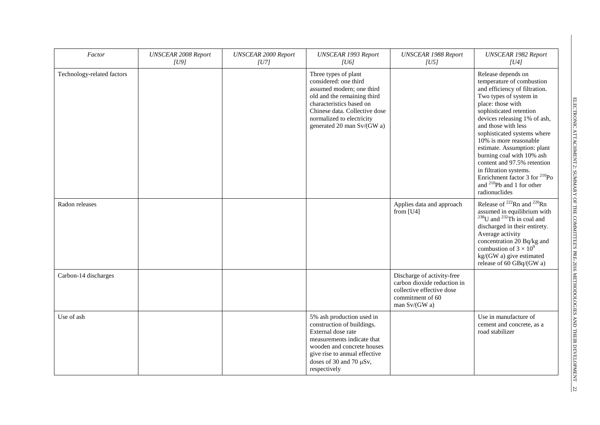| Factor                     | <b>UNSCEAR 2008 Report</b><br> U9 | <b>UNSCEAR 2000 Report</b><br> U7 | <b>UNSCEAR 1993 Report</b><br> U6                                                                                                                                                                                                 | <b>UNSCEAR 1988 Report</b><br> U5                                                                                             | <b>UNSCEAR 1982 Report</b><br> U4                                                                                                                                                                                                                                                                                                                                                                                                                                                                      |
|----------------------------|-----------------------------------|-----------------------------------|-----------------------------------------------------------------------------------------------------------------------------------------------------------------------------------------------------------------------------------|-------------------------------------------------------------------------------------------------------------------------------|--------------------------------------------------------------------------------------------------------------------------------------------------------------------------------------------------------------------------------------------------------------------------------------------------------------------------------------------------------------------------------------------------------------------------------------------------------------------------------------------------------|
| Technology-related factors |                                   |                                   | Three types of plant<br>considered: one third<br>assumed modern; one third<br>old and the remaining third<br>characteristics based on<br>Chinese data. Collective dose<br>normalized to electricity<br>generated 20 man Sv/(GW a) |                                                                                                                               | Release depends on<br>temperature of combustion<br>and efficiency of filtration.<br>Two types of system in<br>place: those with<br>sophisticated retention<br>devices releasing 1% of ash,<br>and those with less<br>sophisticated systems where<br>10% is more reasonable<br>estimate. Assumption: plant<br>burning coal with 10% ash<br>content and 97.5% retention<br>in filtration systems.<br>Enrichment factor 3 for <sup>210</sup> Po<br>and <sup>210</sup> Pb and 1 for other<br>radionuclides |
| Radon releases             |                                   |                                   |                                                                                                                                                                                                                                   | Applies data and approach<br>from $[U4]$                                                                                      | Release of <sup>222</sup> Rn and <sup>220</sup> Rn<br>assumed in equilibrium with<br>$^{238}$ U and $^{232}$ Th in coal and<br>discharged in their entirety.<br>Average activity<br>concentration 20 Bq/kg and<br>combustion of $3 \times 10^9$<br>kg/(GW a) give estimated<br>release of 60 GBq/(GW a)                                                                                                                                                                                                |
| Carbon-14 discharges       |                                   |                                   |                                                                                                                                                                                                                                   | Discharge of activity-free<br>carbon dioxide reduction in<br>collective effective dose<br>commitment of 60<br>man $Sv/(GW a)$ |                                                                                                                                                                                                                                                                                                                                                                                                                                                                                                        |
| Use of ash                 |                                   |                                   | 5% ash production used in<br>construction of buildings.<br>External dose rate<br>measurements indicate that<br>wooden and concrete houses<br>give rise to annual effective<br>doses of 30 and 70 µSv,<br>respectively             |                                                                                                                               | Use in manufacture of<br>cement and concrete, as a<br>road stabilizer                                                                                                                                                                                                                                                                                                                                                                                                                                  |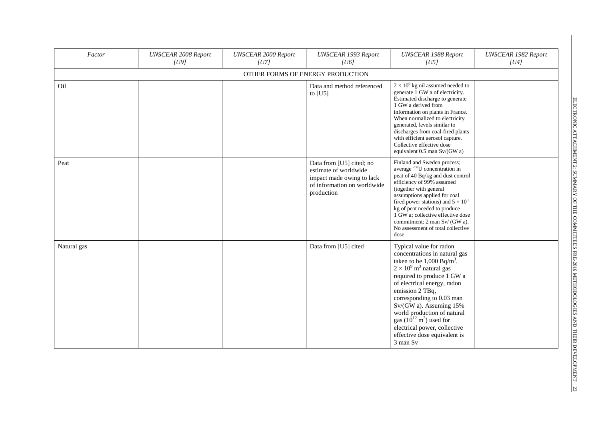| Factor      | <b>UNSCEAR 2008 Report</b><br>[U9] | <b>UNSCEAR 2000 Report</b><br>[U7] | <b>UNSCEAR 1993 Report</b><br>[ <sub>U6</sub> ]                                                                             | <b>UNSCEAR 1988 Report</b><br> U5                                                                                                                                                                                                                                                                                                                                                                                                         | <b>UNSCEAR 1982 Report</b><br>[U4] |
|-------------|------------------------------------|------------------------------------|-----------------------------------------------------------------------------------------------------------------------------|-------------------------------------------------------------------------------------------------------------------------------------------------------------------------------------------------------------------------------------------------------------------------------------------------------------------------------------------------------------------------------------------------------------------------------------------|------------------------------------|
|             |                                    | OTHER FORMS OF ENERGY PRODUCTION   |                                                                                                                             |                                                                                                                                                                                                                                                                                                                                                                                                                                           |                                    |
| Oil         |                                    |                                    | Data and method referenced<br>to $[U5]$                                                                                     | $2 \times 10^9$ kg oil assumed needed to<br>generate 1 GW a of electricity.<br>Estimated discharge to generate<br>1 GW a derived from<br>information on plants in France.<br>When normalized to electricity<br>generated, levels similar to<br>discharges from coal-fired plants<br>with efficient aerosol capture.<br>Collective effective dose<br>equivalent 0.5 man Sv/(GW a)                                                          |                                    |
| Peat        |                                    |                                    | Data from [U5] cited; no<br>estimate of worldwide<br>impact made owing to lack<br>of information on worldwide<br>production | Finland and Sweden process;<br>average <sup>238</sup> U concentration in<br>peat of 40 Bq/kg and dust control<br>efficiency of 99% assumed<br>(together with general<br>assumptions applied for coal<br>fired power stations) and $5 \times 10^9$<br>kg of peat needed to produce<br>1 GW a; collective effective dose<br>commitment: 2 man Sv/ (GW a).<br>No assessment of total collective<br>dose                                      |                                    |
| Natural gas |                                    |                                    | Data from [U5] cited                                                                                                        | Typical value for radon<br>concentrations in natural gas<br>taken to be $1,000 \text{ Bq/m}^3$ .<br>$2 \times 10^9$ m <sup>3</sup> natural gas<br>required to produce 1 GW a<br>of electrical energy, radon<br>emission 2 TBq,<br>corresponding to 0.03 man<br>Sv/(GW a). Assuming 15%<br>world production of natural<br>gas $(10^{12} \text{ m}^3)$ used for<br>electrical power, collective<br>effective dose equivalent is<br>3 man Sv |                                    |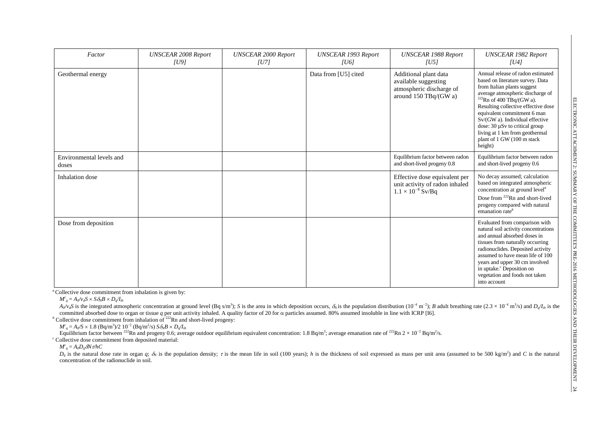| Factor                            | <b>UNSCEAR 2008 Report</b><br>[U9] | <b>UNSCEAR 2000 Report</b><br> U7 | <b>UNSCEAR 1993 Report</b><br> U6 | <b>UNSCEAR 1988 Report</b><br> U5                                                                            | <b>UNSCEAR 1982 Report</b><br> U4                                                                                                                                                                                                                                                                                                                                                                  |
|-----------------------------------|------------------------------------|-----------------------------------|-----------------------------------|--------------------------------------------------------------------------------------------------------------|----------------------------------------------------------------------------------------------------------------------------------------------------------------------------------------------------------------------------------------------------------------------------------------------------------------------------------------------------------------------------------------------------|
| Geothermal energy                 |                                    |                                   | Data from [U5] cited              | Additional plant data<br>available suggesting<br>atmospheric discharge of<br>around $150 \text{ TBq/(GW a)}$ | Annual release of radon estimated<br>based on literature survey. Data<br>from Italian plants suggest<br>average atmospheric discharge of<br>$222$ Rn of 400 TBq/(GW a).<br>Resulting collective effective dose<br>equivalent commitment 6 man<br>Sv/(GW a). Individual effective<br>dose: $30 \mu Sv$ to critical group<br>living at 1 km from geothermal<br>plant of 1 GW (100 m stack<br>height) |
| Environmental levels and<br>doses |                                    |                                   |                                   | Equilibrium factor between radon<br>and short-lived progeny 0.8                                              | Equilibrium factor between radon<br>and short-lived progeny 0.6                                                                                                                                                                                                                                                                                                                                    |
| Inhalation dose                   |                                    |                                   |                                   | Effective dose equivalent per<br>unit activity of radon inhaled<br>$1.1 \times 10^{-8}$ Sv/Bq                | No decay assumed; calculation<br>based on integrated atmospheric<br>concentration at ground level <sup>a</sup><br>Dose from <sup>222</sup> Rn and short-lived<br>progeny compared with natural<br>emanation rate <sup>b</sup>                                                                                                                                                                      |
| Dose from deposition              |                                    |                                   |                                   |                                                                                                              | Evaluated from comparison with<br>natural soil activity concentrations<br>and annual absorbed doses in<br>tissues from naturally occurring<br>radionuclides. Deposited activity<br>assumed to have mean life of 100<br>years and upper 30 cm involved<br>in uptake. <sup>c</sup> Deposition on<br>vegetation and foods not taken<br>into account                                                   |

<sup>*a*</sup> Collective dose commitment from inhalation is given by:

 $M^c{}_q = A_0/v_dS \times S\delta_NB \times D_q/I_{ih}$ 

 $A_0/v_aS$  is the integrated atmospheric concentration at ground level (Bq s/m<sup>3</sup>); S is the area in which deposition occurs,  $\delta_N$  is the population distribution (10<sup>-4</sup> m<sup>-2</sup>); B adult breathing rate (2.3 × 10<sup>-4</sup> m<sup>3</sup>/s) committed absorbed dose to organ or tissue *q* per unit activity inhaled. A quality factor of 20 for  $\alpha$  particles assumed. 80% assumed insoluble in line with ICRP [I6].

 $\overrightarrow{b}$  Collective dose commitment from inhalation of  $\overrightarrow{c}^{222}$ Rn and short-lived progeny:

 $M^c{}_q = A_0/S \times 1.8 \text{ (Bq/m}^3)/2 \text{ 10}^{-2} \text{ (Bq/m}^2/\text{s) } S \delta_N B \times D_q/I_{ih}$ 

Equilibrium factor between <sup>222</sup>Rn and progeny 0.6; average outdoor equilibrium equivalent concentration: 1.8 Bq/m<sup>3</sup>; average emanation rate of <sup>222</sup>Rn 2 × 10<sup>-2</sup> Bq/m<sup>2</sup>/s.

*<sup>c</sup>* Collective dose commitment from deposited material:

*Mc <sup>q</sup>* = *A0Dq*δ*N*τ*/hC*

 $D_q$  is the natural dose rate in organ q;  $\delta_N$  is the population density;  $\tau$  is the mean life in soil (100 years); h is the thickness of soil expressed as mass per unit area (assumed to be 500 kg/m<sup>2</sup>) and C is the nat concentration of the radionuclide in soil.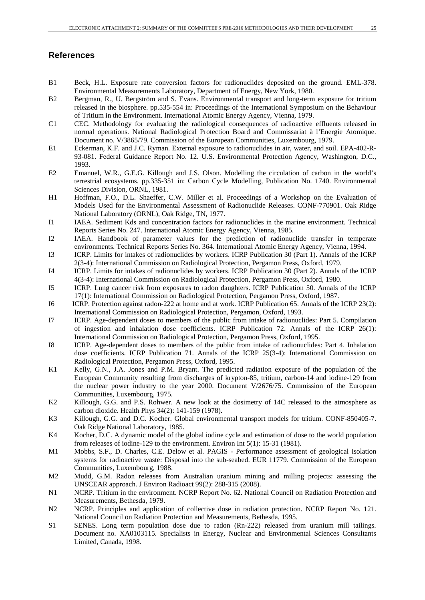#### **References**

- B1 Beck, H.L. Exposure rate conversion factors for radionuclides deposited on the ground. EML-378. Environmental Measurements Laboratory, Department of Energy, New York, 1980.
- B2 Bergman, R., U. Bergström and S. Evans. Environmental transport and long-term exposure for tritium released in the biosphere. pp.535-554 in: Proceedings of the International Symposium on the Behaviour of Tritium in the Environment. International Atomic Energy Agency, Vienna, 1979.
- C1 CEC. Methodology for evaluating the radiological consequences of radioactive effluents released in normal operations. National Radiological Protection Board and Commissariat à l'Energie Atomique. Document no. V/3865/79. Commission of the European Communities, Luxembourg, 1979.
- E1 Eckerman, K.F. and J.C. Ryman. External exposure to radionuclides in air, water, and soil. EPA-402-R-93-081. Federal Guidance Report No. 12. U.S. Environmental Protection Agency, Washington, D.C., 1993.
- E2 Emanuel, W.R., G.E.G. Killough and J.S. Olson. Modelling the circulation of carbon in the world's terrestrial ecosystems. pp.335-351 in: Carbon Cycle Modelling, Publication No. 1740. Environmental Sciences Division, ORNL, 1981.
- H1 Hoffman, F.O., D.L. Shaeffer, C.W. Miller et al. Proceedings of a Workshop on the Evaluation of Models Used for the Environmental Assessment of Radionuclide Releases. CONF-770901. Oak Ridge National Laboratory (ORNL), Oak Ridge, TN, 1977.
- I1 IAEA. Sediment Kds and concentration factors for radionuclides in the marine environment. Technical Reports Series No. 247. International Atomic Energy Agency, Vienna, 1985.
- I2 IAEA. Handbook of parameter values for the prediction of radionuclide transfer in temperate environments. Technical Reports Series No. 364. International Atomic Energy Agency, Vienna, 1994.
- I3 ICRP. Limits for intakes of radionuclides by workers. ICRP Publication 30 (Part 1). Annals of the ICRP 2(3-4): International Commission on Radiological Protection, Pergamon Press, Oxford, 1979.
- I4 ICRP. Limits for intakes of radionuclides by workers. ICRP Publication 30 (Part 2). Annals of the ICRP 4(3-4): International Commission on Radiological Protection, Pergamon Press, Oxford, 1980.
- I5 ICRP. Lung cancer risk from exposures to radon daughters. ICRP Publication 50. Annals of the ICRP 17(1): International Commission on Radiological Protection, Pergamon Press, Oxford, 1987.
- I6 ICRP. Protection against radon-222 at home and at work. ICRP Publication 65. Annals of the ICRP 23(2): International Commission on Radiological Protection, Pergamon, Oxford, 1993.
- I7 ICRP. Age-dependent doses to members of the public from intake of radionuclides: Part 5. Compilation of ingestion and inhalation dose coefficients. ICRP Publication 72. Annals of the ICRP 26(1): International Commission on Radiological Protection, Pergamon Press, Oxford, 1995.
- I8 ICRP. Age-dependent doses to members of the public from intake of radionuclides: Part 4. Inhalation dose coefficients. ICRP Publication 71. Annals of the ICRP 25(3-4): International Commission on Radiological Protection, Pergamon Press, Oxford, 1995.
- K1 Kelly, G.N., J.A. Jones and P.M. Bryant. The predicted radiation exposure of the population of the European Community resulting from discharges of krypton-85, tritium, carbon-14 and iodine-129 from the nuclear power industry to the year 2000. Document V/2676/75. Commission of the European Communities, Luxembourg, 1975.
- K2 Killough, G.G. and P.S. Rohwer. A new look at the dosimetry of 14C released to the atmosphere as carbon dioxide. Health Phys 34(2): 141-159 (1978).
- K3 Killough, G.G. and D.C. Kocher. Global environmental transport models for tritium. CONF-850405-7. Oak Ridge National Laboratory, 1985.
- K4 Kocher, D.C. A dynamic model of the global iodine cycle and estimation of dose to the world population from releases of iodine-129 to the environment. Environ Int 5(1): 15-31 (1981).
- M1 Mobbs, S.F., D. Charles, C.E. Delow et al. PAGIS Performance assessment of geological isolation systems for radioactive waste: Disposal into the sub-seabed. EUR 11779. Commission of the European Communities, Luxembourg, 1988.
- M2 Mudd, G.M. Radon releases from Australian uranium mining and milling projects: assessing the UNSCEAR approach. J Environ Radioact 99(2): 288-315 (2008).
- N1 NCRP. Tritium in the environment. NCRP Report No. 62. National Council on Radiation Protection and Measurements, Bethesda, 1979.
- N2 NCRP. Principles and application of collective dose in radiation protection. NCRP Report No. 121. National Council on Radiation Protection and Measurements, Bethesda, 1995.
- S1 SENES. Long term population dose due to radon (Rn-222) released from uranium mill tailings. Document no. XA0103115. Specialists in Energy, Nuclear and Environmental Sciences Consultants Limited, Canada, 1998.